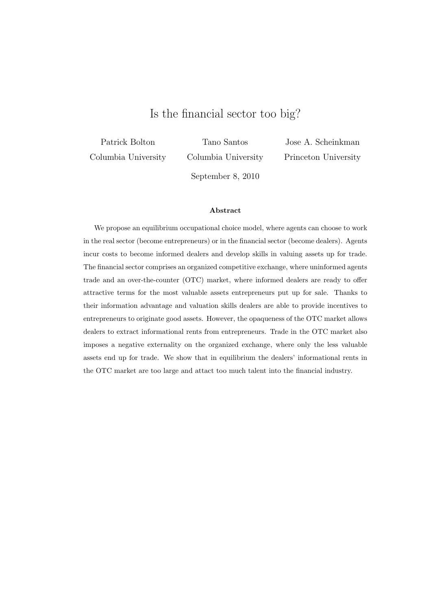# Is the financial sector too big?

Patrick Bolton Columbia University

Tano Santos Columbia University

Jose A. Scheinkman Princeton University

September 8, 2010

#### Abstract

We propose an equilibrium occupational choice model, where agents can choose to work in the real sector (become entrepreneurs) or in the financial sector (become dealers). Agents incur costs to become informed dealers and develop skills in valuing assets up for trade. The financial sector comprises an organized competitive exchange, where uninformed agents trade and an over-the-counter (OTC) market, where informed dealers are ready to offer attractive terms for the most valuable assets entrepreneurs put up for sale. Thanks to their information advantage and valuation skills dealers are able to provide incentives to entrepreneurs to originate good assets. However, the opaqueness of the OTC market allows dealers to extract informational rents from entrepreneurs. Trade in the OTC market also imposes a negative externality on the organized exchange, where only the less valuable assets end up for trade. We show that in equilibrium the dealers' informational rents in the OTC market are too large and attact too much talent into the financial industry.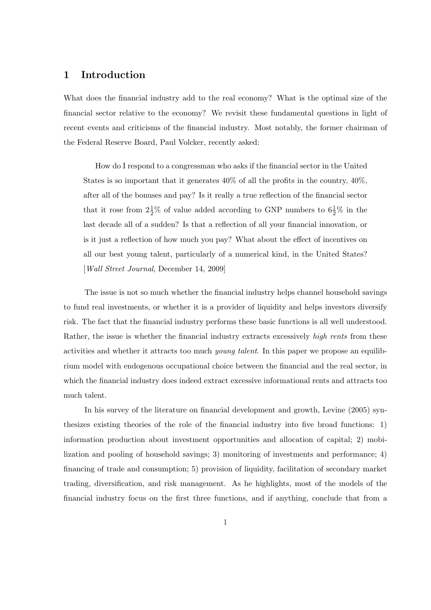## 1 Introduction

What does the financial industry add to the real economy? What is the optimal size of the financial sector relative to the economy? We revisit these fundamental questions in light of recent events and criticisms of the financial industry. Most notably, the former chairman of the Federal Reserve Board, Paul Volcker, recently asked:

How do I respond to a congressman who asks if the financial sector in the United States is so important that it generates 40% of all the profits in the country, 40%, after all of the bonuses and pay? Is it really a true reflection of the financial sector that it rose from  $2\frac{1}{2}\%$  of value added according to GNP numbers to  $6\frac{1}{2}\%$  in the last decade all of a sudden? Is that a reflection of all your financial innovation, or is it just a reflection of how much you pay? What about the effect of incentives on all our best young talent, particularly of a numerical kind, in the United States? [Wall Street Journal, December 14, 2009]

The issue is not so much whether the financial industry helps channel household savings to fund real investments, or whether it is a provider of liquidity and helps investors diversify risk. The fact that the financial industry performs these basic functions is all well understood. Rather, the issue is whether the financial industry extracts excessively *high rents* from these activities and whether it attracts too much young talent. In this paper we propose an equilibrium model with endogenous occupational choice between the financial and the real sector, in which the financial industry does indeed extract excessive informational rents and attracts too much talent.

In his survey of the literature on financial development and growth, Levine (2005) synthesizes existing theories of the role of the financial industry into five broad functions: 1) information production about investment opportunities and allocation of capital; 2) mobilization and pooling of household savings; 3) monitoring of investments and performance; 4) financing of trade and consumption; 5) provision of liquidity, facilitation of secondary market trading, diversification, and risk management. As he highlights, most of the models of the financial industry focus on the first three functions, and if anything, conclude that from a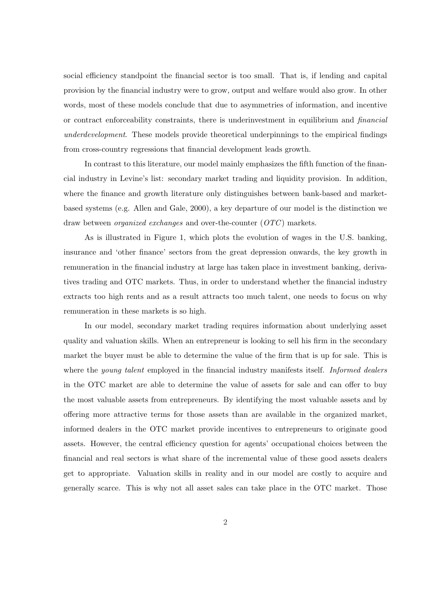social efficiency standpoint the financial sector is too small. That is, if lending and capital provision by the financial industry were to grow, output and welfare would also grow. In other words, most of these models conclude that due to asymmetries of information, and incentive or contract enforceability constraints, there is underinvestment in equilibrium and financial underdevelopment. These models provide theoretical underpinnings to the empirical findings from cross-country regressions that financial development leads growth.

In contrast to this literature, our model mainly emphasizes the fifth function of the financial industry in Levine's list: secondary market trading and liquidity provision. In addition, where the finance and growth literature only distinguishes between bank-based and marketbased systems (e.g. Allen and Gale, 2000), a key departure of our model is the distinction we draw between *organized exchanges* and over-the-counter  $(OTC)$  markets.

As is illustrated in Figure 1, which plots the evolution of wages in the U.S. banking, insurance and 'other finance' sectors from the great depression onwards, the key growth in remuneration in the financial industry at large has taken place in investment banking, derivatives trading and OTC markets. Thus, in order to understand whether the financial industry extracts too high rents and as a result attracts too much talent, one needs to focus on why remuneration in these markets is so high.

In our model, secondary market trading requires information about underlying asset quality and valuation skills. When an entrepreneur is looking to sell his firm in the secondary market the buyer must be able to determine the value of the firm that is up for sale. This is where the *young talent* employed in the financial industry manifests itself. *Informed dealers* in the OTC market are able to determine the value of assets for sale and can offer to buy the most valuable assets from entrepreneurs. By identifying the most valuable assets and by offering more attractive terms for those assets than are available in the organized market, informed dealers in the OTC market provide incentives to entrepreneurs to originate good assets. However, the central efficiency question for agents' occupational choices between the financial and real sectors is what share of the incremental value of these good assets dealers get to appropriate. Valuation skills in reality and in our model are costly to acquire and generally scarce. This is why not all asset sales can take place in the OTC market. Those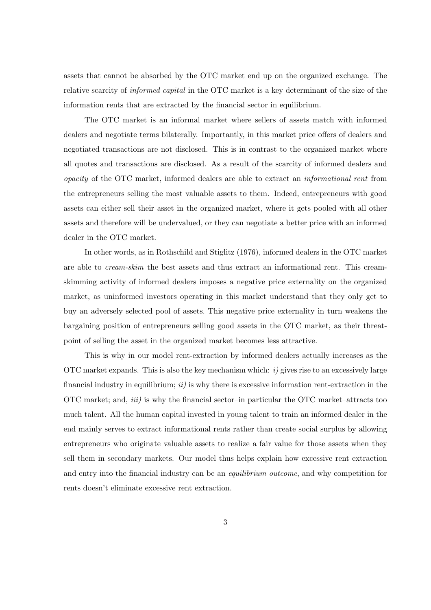assets that cannot be absorbed by the OTC market end up on the organized exchange. The relative scarcity of informed capital in the OTC market is a key determinant of the size of the information rents that are extracted by the financial sector in equilibrium.

The OTC market is an informal market where sellers of assets match with informed dealers and negotiate terms bilaterally. Importantly, in this market price offers of dealers and negotiated transactions are not disclosed. This is in contrast to the organized market where all quotes and transactions are disclosed. As a result of the scarcity of informed dealers and opacity of the OTC market, informed dealers are able to extract an informational rent from the entrepreneurs selling the most valuable assets to them. Indeed, entrepreneurs with good assets can either sell their asset in the organized market, where it gets pooled with all other assets and therefore will be undervalued, or they can negotiate a better price with an informed dealer in the OTC market.

In other words, as in Rothschild and Stiglitz (1976), informed dealers in the OTC market are able to cream-skim the best assets and thus extract an informational rent. This creamskimming activity of informed dealers imposes a negative price externality on the organized market, as uninformed investors operating in this market understand that they only get to buy an adversely selected pool of assets. This negative price externality in turn weakens the bargaining position of entrepreneurs selling good assets in the OTC market, as their threatpoint of selling the asset in the organized market becomes less attractive.

This is why in our model rent-extraction by informed dealers actually increases as the OTC market expands. This is also the key mechanism which:  $i)$  gives rise to an excessively large financial industry in equilibrium;  $ii)$  is why there is excessive information rent-extraction in the OTC market; and, *iii*) is why the financial sector-in particular the OTC market-attracts too much talent. All the human capital invested in young talent to train an informed dealer in the end mainly serves to extract informational rents rather than create social surplus by allowing entrepreneurs who originate valuable assets to realize a fair value for those assets when they sell them in secondary markets. Our model thus helps explain how excessive rent extraction and entry into the financial industry can be an *equilibrium outcome*, and why competition for rents doesn't eliminate excessive rent extraction.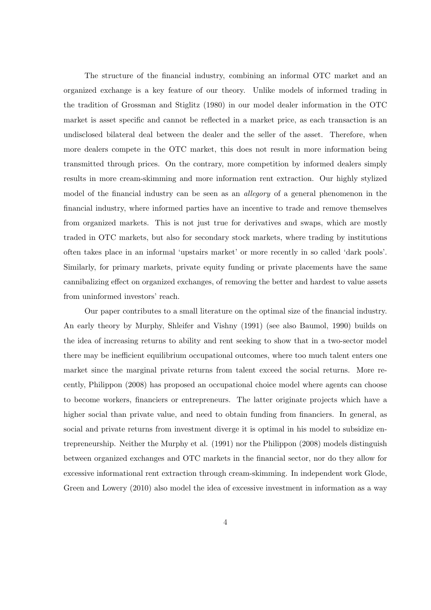The structure of the financial industry, combining an informal OTC market and an organized exchange is a key feature of our theory. Unlike models of informed trading in the tradition of Grossman and Stiglitz (1980) in our model dealer information in the OTC market is asset specific and cannot be reflected in a market price, as each transaction is an undisclosed bilateral deal between the dealer and the seller of the asset. Therefore, when more dealers compete in the OTC market, this does not result in more information being transmitted through prices. On the contrary, more competition by informed dealers simply results in more cream-skimming and more information rent extraction. Our highly stylized model of the financial industry can be seen as an allegory of a general phenomenon in the financial industry, where informed parties have an incentive to trade and remove themselves from organized markets. This is not just true for derivatives and swaps, which are mostly traded in OTC markets, but also for secondary stock markets, where trading by institutions often takes place in an informal 'upstairs market' or more recently in so called 'dark pools'. Similarly, for primary markets, private equity funding or private placements have the same cannibalizing effect on organized exchanges, of removing the better and hardest to value assets from uninformed investors' reach.

Our paper contributes to a small literature on the optimal size of the financial industry. An early theory by Murphy, Shleifer and Vishny (1991) (see also Baumol, 1990) builds on the idea of increasing returns to ability and rent seeking to show that in a two-sector model there may be inefficient equilibrium occupational outcomes, where too much talent enters one market since the marginal private returns from talent exceed the social returns. More recently, Philippon (2008) has proposed an occupational choice model where agents can choose to become workers, financiers or entrepreneurs. The latter originate projects which have a higher social than private value, and need to obtain funding from financiers. In general, as social and private returns from investment diverge it is optimal in his model to subsidize entrepreneurship. Neither the Murphy et al. (1991) nor the Philippon (2008) models distinguish between organized exchanges and OTC markets in the financial sector, nor do they allow for excessive informational rent extraction through cream-skimming. In independent work Glode, Green and Lowery (2010) also model the idea of excessive investment in information as a way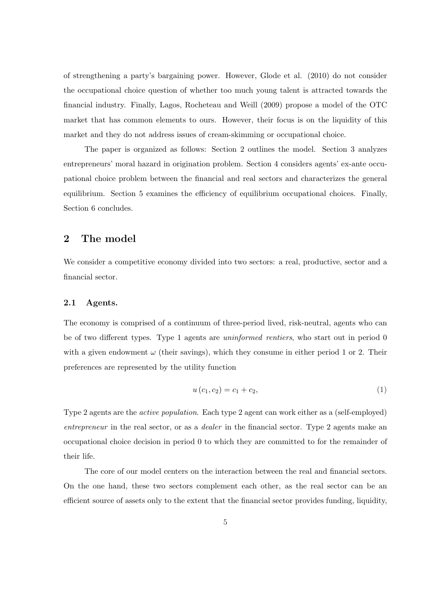of strengthening a party's bargaining power. However, Glode et al. (2010) do not consider the occupational choice question of whether too much young talent is attracted towards the financial industry. Finally, Lagos, Rocheteau and Weill (2009) propose a model of the OTC market that has common elements to ours. However, their focus is on the liquidity of this market and they do not address issues of cream-skimming or occupational choice.

The paper is organized as follows: Section 2 outlines the model. Section 3 analyzes entrepreneurs' moral hazard in origination problem. Section 4 considers agents' ex-ante occupational choice problem between the financial and real sectors and characterizes the general equilibrium. Section 5 examines the efficiency of equilibrium occupational choices. Finally, Section 6 concludes.

## 2 The model

We consider a competitive economy divided into two sectors: a real, productive, sector and a financial sector.

#### 2.1 Agents.

The economy is comprised of a continuum of three-period lived, risk-neutral, agents who can be of two different types. Type 1 agents are uninformed rentiers, who start out in period 0 with a given endowment  $\omega$  (their savings), which they consume in either period 1 or 2. Their preferences are represented by the utility function

$$
u(c_1, c_2) = c_1 + c_2,\tag{1}
$$

Type 2 agents are the active population. Each type 2 agent can work either as a (self-employed) entrepreneur in the real sector, or as a *dealer* in the financial sector. Type 2 agents make an occupational choice decision in period 0 to which they are committed to for the remainder of their life.

The core of our model centers on the interaction between the real and financial sectors. On the one hand, these two sectors complement each other, as the real sector can be an efficient source of assets only to the extent that the financial sector provides funding, liquidity,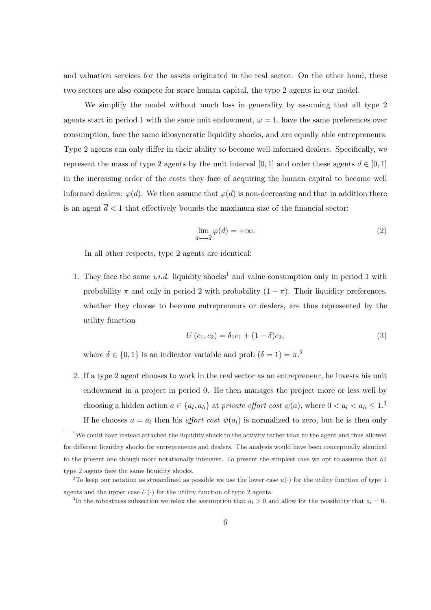and valuation services for the assets originated in the real sector. On the other hand, these two sectors are also compete for scare human capital, the type 2 agents in our model.

We simplify the model without much loss in generality by assuming that all type 2 agents start in period 1 with the same unit endowment,  $\omega = 1$ , have the same preferences over consumption, face the same idiosyncratic liquidity shocks, and are equally able entrepreneurs. Type 2 agents can only differ in their ability to become well-informed dealers. Specifically, we represent the mass of type 2 agents by the unit interval [0, 1] and order these agents  $d \in [0,1]$ in the increasing order of the costs they face of acquiring the human capital to become well informed dealers:  $\varphi(d)$ . We then assume that  $\varphi(d)$  is non-decreasing and that in addition there is an agent  $\bar{d}$  < 1 that effectively bounds the maximum size of the financial sector:

$$
\lim_{d \to d} \varphi(d) = +\infty. \tag{2}
$$

In all other respects, type 2 agents are identical:

1. They face the same i.i.d. liquidity shocks<sup>1</sup> and value consumption only in period 1 with probability  $\pi$  and only in period 2 with probability  $(1 - \pi)$ . Their liquidity preferences, whether they choose to become entrepreneurs or dealers, are thus represented by the utility function

$$
U(c_1, c_2) = \delta_1 c_1 + (1 - \delta)c_2,
$$
\n(3)

where  $\delta \in \{0, 1\}$  is an indicator variable and prob  $(\delta = 1) = \pi$ <sup>2</sup>

2. If a type 2 agent chooses to work in the real sector as an entrepreneur, he invests his unit endowment in a project in period 0. He then manages the project more or less well by choosing a hidden action  $a \in \{a_l, a_h\}$  at private effort cost  $\psi(a)$ , where  $0 < a_l < a_h \leq 1$ .<sup>3</sup> If he chooses  $a = a_l$  then his *effort cost*  $\psi(a_l)$  is normalized to zero, but he is then only

<sup>&</sup>lt;sup>1</sup>We could have instead attached the liquidity shock to the activity rather than to the agent and thus allowed for different liquidity shocks for entrepreneurs and dealers. The analysis would have been conceptually identical to the present one though more notationally intensive. To present the simplest case we opt to assume that all type 2 agents face the same liquidity shocks.

<sup>&</sup>lt;sup>2</sup>To keep our notation as streamlined as possible we use the lower case  $u(\cdot)$  for the utility function of type 1 agents and the upper case  $U(\cdot)$  for the utility function of type 2 agents.

<sup>&</sup>lt;sup>3</sup>In the robustness subsection we relax the assumption that  $a_l > 0$  and allow for the possibility that  $a_l = 0$ .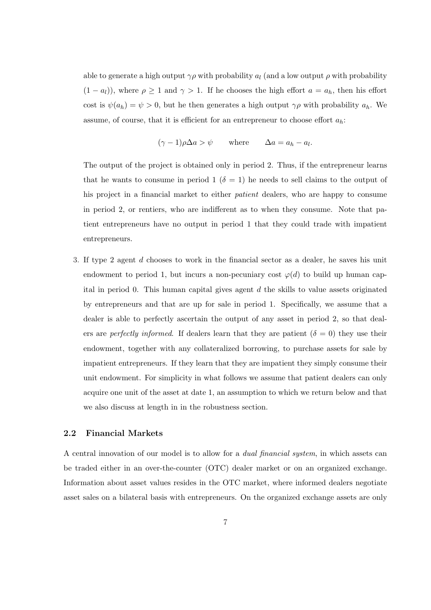able to generate a high output  $\gamma \rho$  with probability  $a_l$  (and a low output  $\rho$  with probability  $(1 - a_l)$ , where  $\rho \ge 1$  and  $\gamma > 1$ . If he chooses the high effort  $a = a_h$ , then his effort cost is  $\psi(a_h) = \psi > 0$ , but he then generates a high output  $\gamma \rho$  with probability  $a_h$ . We assume, of course, that it is efficient for an entrepreneur to choose effort  $a_h$ :

$$
(\gamma - 1)\rho\Delta a > \psi
$$
 where  $\Delta a = a_h - a_l$ .

The output of the project is obtained only in period 2. Thus, if the entrepreneur learns that he wants to consume in period 1 ( $\delta = 1$ ) he needs to sell claims to the output of his project in a financial market to either patient dealers, who are happy to consume in period 2, or rentiers, who are indifferent as to when they consume. Note that patient entrepreneurs have no output in period 1 that they could trade with impatient entrepreneurs.

3. If type 2 agent d chooses to work in the financial sector as a dealer, he saves his unit endowment to period 1, but incurs a non-pecuniary cost  $\varphi(d)$  to build up human capital in period 0. This human capital gives agent  $d$  the skills to value assets originated by entrepreneurs and that are up for sale in period 1. Specifically, we assume that a dealer is able to perfectly ascertain the output of any asset in period 2, so that dealers are *perfectly informed*. If dealers learn that they are patient  $(\delta = 0)$  they use their endowment, together with any collateralized borrowing, to purchase assets for sale by impatient entrepreneurs. If they learn that they are impatient they simply consume their unit endowment. For simplicity in what follows we assume that patient dealers can only acquire one unit of the asset at date 1, an assumption to which we return below and that we also discuss at length in in the robustness section.

### 2.2 Financial Markets

A central innovation of our model is to allow for a dual financial system, in which assets can be traded either in an over-the-counter (OTC) dealer market or on an organized exchange. Information about asset values resides in the OTC market, where informed dealers negotiate asset sales on a bilateral basis with entrepreneurs. On the organized exchange assets are only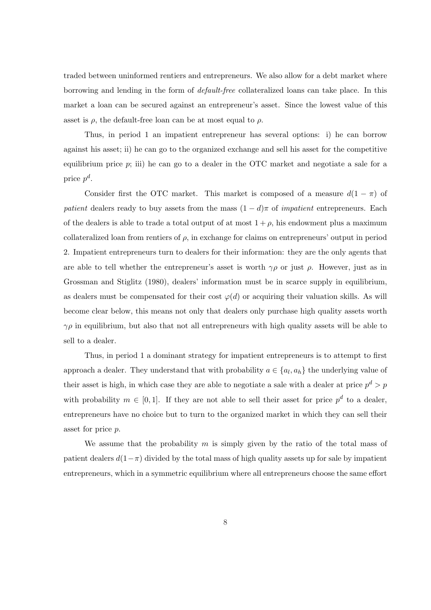traded between uninformed rentiers and entrepreneurs. We also allow for a debt market where borrowing and lending in the form of default-free collateralized loans can take place. In this market a loan can be secured against an entrepreneur's asset. Since the lowest value of this asset is  $\rho$ , the default-free loan can be at most equal to  $\rho$ .

Thus, in period 1 an impatient entrepreneur has several options: i) he can borrow against his asset; ii) he can go to the organized exchange and sell his asset for the competitive equilibrium price  $p$ ; iii) he can go to a dealer in the OTC market and negotiate a sale for a price  $p^d$ .

Consider first the OTC market. This market is composed of a measure  $d(1 - \pi)$  of patient dealers ready to buy assets from the mass  $(1 - d)\pi$  of *impatient* entrepreneurs. Each of the dealers is able to trade a total output of at most  $1 + \rho$ , his endowment plus a maximum collateralized loan from rentiers of  $\rho$ , in exchange for claims on entrepreneurs' output in period 2. Impatient entrepreneurs turn to dealers for their information: they are the only agents that are able to tell whether the entrepreneur's asset is worth  $\gamma \rho$  or just  $\rho$ . However, just as in Grossman and Stiglitz (1980), dealers' information must be in scarce supply in equilibrium, as dealers must be compensated for their cost  $\varphi(d)$  or acquiring their valuation skills. As will become clear below, this means not only that dealers only purchase high quality assets worth  $\gamma \rho$  in equilibrium, but also that not all entrepreneurs with high quality assets will be able to sell to a dealer.

Thus, in period 1 a dominant strategy for impatient entrepreneurs is to attempt to first approach a dealer. They understand that with probability  $a \in \{a_l, a_h\}$  the underlying value of their asset is high, in which case they are able to negotiate a sale with a dealer at price  $p^d > p$ with probability  $m \in [0,1]$ . If they are not able to sell their asset for price  $p^d$  to a dealer, entrepreneurs have no choice but to turn to the organized market in which they can sell their asset for price p.

We assume that the probability  $m$  is simply given by the ratio of the total mass of patient dealers  $d(1-\pi)$  divided by the total mass of high quality assets up for sale by impatient entrepreneurs, which in a symmetric equilibrium where all entrepreneurs choose the same effort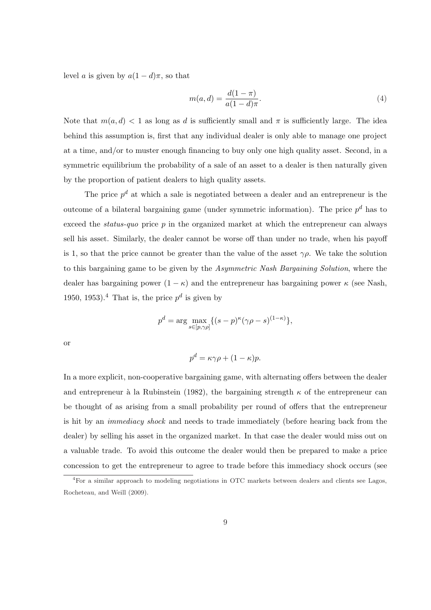level a is given by  $a(1-d)\pi$ , so that

$$
m(a,d) = \frac{d(1-\pi)}{a(1-d)\pi}.
$$
\n(4)

Note that  $m(a, d) < 1$  as long as d is sufficiently small and  $\pi$  is sufficiently large. The idea behind this assumption is, first that any individual dealer is only able to manage one project at a time, and/or to muster enough financing to buy only one high quality asset. Second, in a symmetric equilibrium the probability of a sale of an asset to a dealer is then naturally given by the proportion of patient dealers to high quality assets.

The price  $p^d$  at which a sale is negotiated between a dealer and an entrepreneur is the outcome of a bilateral bargaining game (under symmetric information). The price  $p^d$  has to exceed the *status-quo* price  $p$  in the organized market at which the entrepreneur can always sell his asset. Similarly, the dealer cannot be worse off than under no trade, when his payoff is 1, so that the price cannot be greater than the value of the asset  $\gamma \rho$ . We take the solution to this bargaining game to be given by the Asymmetric Nash Bargaining Solution, where the dealer has bargaining power  $(1 - \kappa)$  and the entrepreneur has bargaining power  $\kappa$  (see Nash, 1950, 1953).<sup>4</sup> That is, the price  $p^d$  is given by

$$
p^d = \arg\max_{s \in [p,\gamma\rho]} \{ (s-p)^\kappa (\gamma \rho - s)^{(1-\kappa)} \},\
$$

or

$$
p^d = \kappa \gamma \rho + (1 - \kappa)p.
$$

In a more explicit, non-cooperative bargaining game, with alternating offers between the dealer and entrepreneur à la Rubinstein (1982), the bargaining strength  $\kappa$  of the entrepreneur can be thought of as arising from a small probability per round of offers that the entrepreneur is hit by an immediacy shock and needs to trade immediately (before hearing back from the dealer) by selling his asset in the organized market. In that case the dealer would miss out on a valuable trade. To avoid this outcome the dealer would then be prepared to make a price concession to get the entrepreneur to agree to trade before this immediacy shock occurs (see

<sup>4</sup>For a similar approach to modeling negotiations in OTC markets between dealers and clients see Lagos, Rocheteau, and Weill (2009).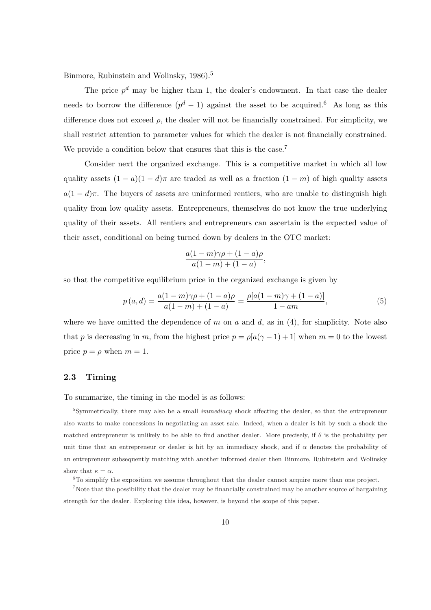Binmore, Rubinstein and Wolinsky, 1986).<sup>5</sup>

The price  $p^d$  may be higher than 1, the dealer's endowment. In that case the dealer needs to borrow the difference  $(p^d - 1)$  against the asset to be acquired.<sup>6</sup> As long as this difference does not exceed  $\rho$ , the dealer will not be financially constrained. For simplicity, we shall restrict attention to parameter values for which the dealer is not financially constrained. We provide a condition below that ensures that this is the case.<sup>7</sup>

Consider next the organized exchange. This is a competitive market in which all low quality assets  $(1 - a)(1 - d)\pi$  are traded as well as a fraction  $(1 - m)$  of high quality assets  $a(1-d)\pi$ . The buyers of assets are uninformed rentiers, who are unable to distinguish high quality from low quality assets. Entrepreneurs, themselves do not know the true underlying quality of their assets. All rentiers and entrepreneurs can ascertain is the expected value of their asset, conditional on being turned down by dealers in the OTC market:

$$
\frac{a(1-m)\gamma\rho+(1-a)\rho}{a(1-m)+(1-a)},
$$

so that the competitive equilibrium price in the organized exchange is given by

$$
p(a,d) = \frac{a(1-m)\gamma\rho + (1-a)\rho}{a(1-m) + (1-a)} = \frac{\rho[a(1-m)\gamma + (1-a)]}{1-am},
$$
\n(5)

where we have omitted the dependence of m on a and d, as in  $(4)$ , for simplicity. Note also that p is decreasing in m, from the highest price  $p = \rho[a(\gamma - 1) + 1]$  when  $m = 0$  to the lowest price  $p = \rho$  when  $m = 1$ .

### 2.3 Timing

To summarize, the timing in the model is as follows:

 ${}^{6}$ To simplify the exposition we assume throughout that the dealer cannot acquire more than one project.

<sup>7</sup>Note that the possibility that the dealer may be financially constrained may be another source of bargaining strength for the dealer. Exploring this idea, however, is beyond the scope of this paper.

 $5$ Symmetrically, there may also be a small *immediacy* shock affecting the dealer, so that the entrepreneur also wants to make concessions in negotiating an asset sale. Indeed, when a dealer is hit by such a shock the matched entrepreneur is unlikely to be able to find another dealer. More precisely, if  $\theta$  is the probability per unit time that an entrepreneur or dealer is hit by an immediacy shock, and if  $\alpha$  denotes the probability of an entrepreneur subsequently matching with another informed dealer then Binmore, Rubinstein and Wolinsky show that  $\kappa = \alpha$ .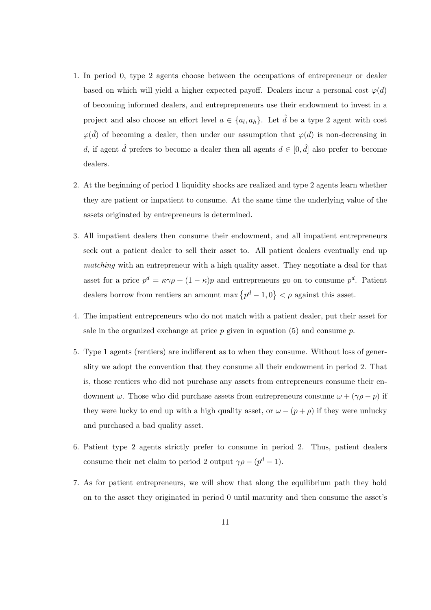- 1. In period 0, type 2 agents choose between the occupations of entrepreneur or dealer based on which will yield a higher expected payoff. Dealers incur a personal cost  $\varphi(d)$ of becoming informed dealers, and entreprepreneurs use their endowment to invest in a project and also choose an effort level  $a \in \{a_l, a_h\}$ . Let  $\hat{d}$  be a type 2 agent with cost  $\varphi(\hat{d})$  of becoming a dealer, then under our assumption that  $\varphi(d)$  is non-decreasing in d, if agent  $\hat{d}$  prefers to become a dealer then all agents  $d \in [0, \hat{d}]$  also prefer to become dealers.
- 2. At the beginning of period 1 liquidity shocks are realized and type 2 agents learn whether they are patient or impatient to consume. At the same time the underlying value of the assets originated by entrepreneurs is determined.
- 3. All impatient dealers then consume their endowment, and all impatient entrepreneurs seek out a patient dealer to sell their asset to. All patient dealers eventually end up matching with an entrepreneur with a high quality asset. They negotiate a deal for that asset for a price  $p^d = \kappa \gamma \rho + (1 - \kappa)p$  and entrepreneurs go on to consume  $p^d$ . Patient dealers borrow from rentiers an amount max  $\{p^d-1,0\}$  $\lt \rho$  against this asset.
- 4. The impatient entrepreneurs who do not match with a patient dealer, put their asset for sale in the organized exchange at price  $p$  given in equation (5) and consume  $p$ .
- 5. Type 1 agents (rentiers) are indifferent as to when they consume. Without loss of generality we adopt the convention that they consume all their endowment in period 2. That is, those rentiers who did not purchase any assets from entrepreneurs consume their endowment  $\omega$ . Those who did purchase assets from entrepreneurs consume  $\omega + (\gamma \rho - p)$  if they were lucky to end up with a high quality asset, or  $\omega - (p + \rho)$  if they were unlucky and purchased a bad quality asset.
- 6. Patient type 2 agents strictly prefer to consume in period 2. Thus, patient dealers consume their net claim to period 2 output  $\gamma \rho - (p^d - 1)$ .
- 7. As for patient entrepreneurs, we will show that along the equilibrium path they hold on to the asset they originated in period 0 until maturity and then consume the asset's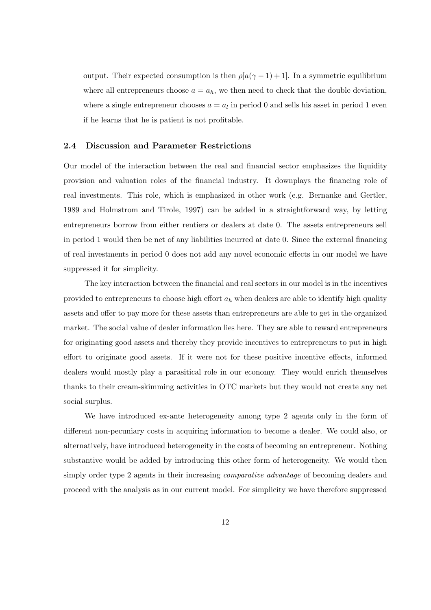output. Their expected consumption is then  $\rho[a(\gamma-1)+1]$ . In a symmetric equilibrium where all entrepreneurs choose  $a = a_h$ , we then need to check that the double deviation, where a single entrepreneur chooses  $a = a_l$  in period 0 and sells his asset in period 1 even if he learns that he is patient is not profitable.

#### 2.4 Discussion and Parameter Restrictions

Our model of the interaction between the real and financial sector emphasizes the liquidity provision and valuation roles of the financial industry. It downplays the financing role of real investments. This role, which is emphasized in other work (e.g. Bernanke and Gertler, 1989 and Holmstrom and Tirole, 1997) can be added in a straightforward way, by letting entrepreneurs borrow from either rentiers or dealers at date 0. The assets entrepreneurs sell in period 1 would then be net of any liabilities incurred at date 0. Since the external financing of real investments in period 0 does not add any novel economic effects in our model we have suppressed it for simplicity.

The key interaction between the financial and real sectors in our model is in the incentives provided to entrepreneurs to choose high effort  $a<sub>h</sub>$  when dealers are able to identify high quality assets and offer to pay more for these assets than entrepreneurs are able to get in the organized market. The social value of dealer information lies here. They are able to reward entrepreneurs for originating good assets and thereby they provide incentives to entrepreneurs to put in high effort to originate good assets. If it were not for these positive incentive effects, informed dealers would mostly play a parasitical role in our economy. They would enrich themselves thanks to their cream-skimming activities in OTC markets but they would not create any net social surplus.

We have introduced ex-ante heterogeneity among type 2 agents only in the form of different non-pecuniary costs in acquiring information to become a dealer. We could also, or alternatively, have introduced heterogeneity in the costs of becoming an entrepreneur. Nothing substantive would be added by introducing this other form of heterogeneity. We would then simply order type 2 agents in their increasing comparative advantage of becoming dealers and proceed with the analysis as in our current model. For simplicity we have therefore suppressed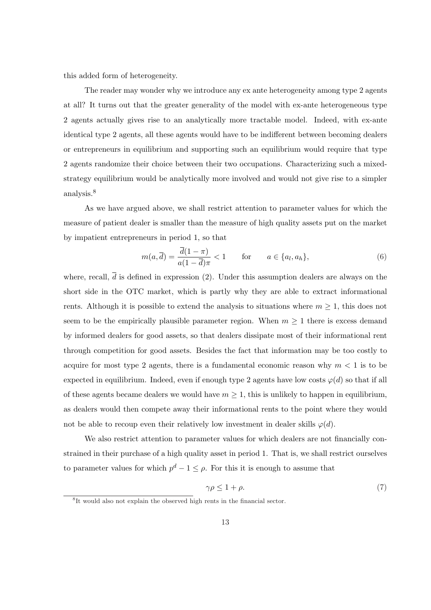this added form of heterogeneity.

The reader may wonder why we introduce any ex ante heterogeneity among type 2 agents at all? It turns out that the greater generality of the model with ex-ante heterogeneous type 2 agents actually gives rise to an analytically more tractable model. Indeed, with ex-ante identical type 2 agents, all these agents would have to be indifferent between becoming dealers or entrepreneurs in equilibrium and supporting such an equilibrium would require that type 2 agents randomize their choice between their two occupations. Characterizing such a mixedstrategy equilibrium would be analytically more involved and would not give rise to a simpler analysis.<sup>8</sup>

As we have argued above, we shall restrict attention to parameter values for which the measure of patient dealer is smaller than the measure of high quality assets put on the market by impatient entrepreneurs in period 1, so that

$$
m(a,\overline{d}) = \frac{\overline{d}(1-\pi)}{a(1-\overline{d})\pi} < 1 \qquad \text{for} \qquad a \in \{a_l, a_h\},\tag{6}
$$

where, recall,  $\overline{d}$  is defined in expression (2). Under this assumption dealers are always on the short side in the OTC market, which is partly why they are able to extract informational rents. Although it is possible to extend the analysis to situations where  $m \geq 1$ , this does not seem to be the empirically plausible parameter region. When  $m \geq 1$  there is excess demand by informed dealers for good assets, so that dealers dissipate most of their informational rent through competition for good assets. Besides the fact that information may be too costly to acquire for most type 2 agents, there is a fundamental economic reason why  $m < 1$  is to be expected in equilibrium. Indeed, even if enough type 2 agents have low costs  $\varphi(d)$  so that if all of these agents became dealers we would have  $m \geq 1$ , this is unlikely to happen in equilibrium, as dealers would then compete away their informational rents to the point where they would not be able to recoup even their relatively low investment in dealer skills  $\varphi(d)$ .

We also restrict attention to parameter values for which dealers are not financially constrained in their purchase of a high quality asset in period 1. That is, we shall restrict ourselves to parameter values for which  $p^d - 1 \leq \rho$ . For this it is enough to assume that

$$
\gamma \rho \le 1 + \rho. \tag{7}
$$

<sup>&</sup>lt;sup>8</sup>It would also not explain the observed high rents in the financial sector.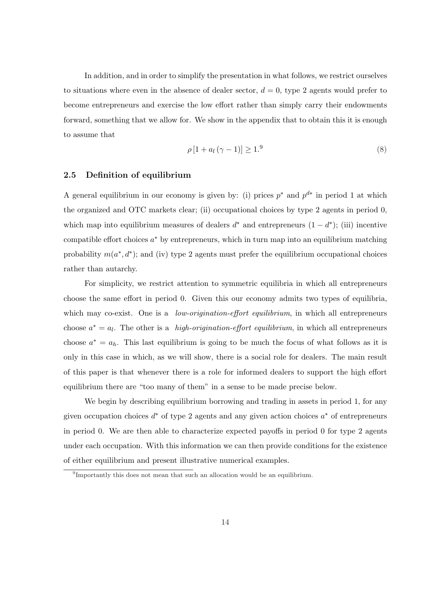In addition, and in order to simplify the presentation in what follows, we restrict ourselves to situations where even in the absence of dealer sector,  $d = 0$ , type 2 agents would prefer to become entrepreneurs and exercise the low effort rather than simply carry their endowments forward, something that we allow for. We show in the appendix that to obtain this it is enough to assume that

$$
\rho\left[1 + a_l\left(\gamma - 1\right)\right] \ge 1.9\tag{8}
$$

#### 2.5 Definition of equilibrium

A general equilibrium in our economy is given by: (i) prices  $p^*$  and  $p^{d*}$  in period 1 at which the organized and OTC markets clear; (ii) occupational choices by type 2 agents in period 0, which map into equilibrium measures of dealers  $d^*$  and entrepreneurs  $(1 - d^*)$ ; (iii) incentive compatible effort choices  $a^*$  by entrepreneurs, which in turn map into an equilibrium matching probability  $m(a^*, d^*)$ ; and (iv) type 2 agents must prefer the equilibrium occupational choices rather than autarchy.

For simplicity, we restrict attention to symmetric equilibria in which all entrepreneurs choose the same effort in period 0. Given this our economy admits two types of equilibria, which may co-exist. One is a *low-origination-effort equilibrium*, in which all entrepreneurs choose  $a^* = a_l$ . The other is a *high-origination-effort equilibrium*, in which all entrepreneurs choose  $a^* = a_h$ . This last equilibrium is going to be much the focus of what follows as it is only in this case in which, as we will show, there is a social role for dealers. The main result of this paper is that whenever there is a role for informed dealers to support the high effort equilibrium there are "too many of them" in a sense to be made precise below.

We begin by describing equilibrium borrowing and trading in assets in period 1, for any given occupation choices  $d^*$  of type 2 agents and any given action choices  $a^*$  of entrepreneurs in period 0. We are then able to characterize expected payoffs in period 0 for type 2 agents under each occupation. With this information we can then provide conditions for the existence of either equilibrium and present illustrative numerical examples.

<sup>&</sup>lt;sup>9</sup>Importantly this does not mean that such an allocation would be an equilibrium.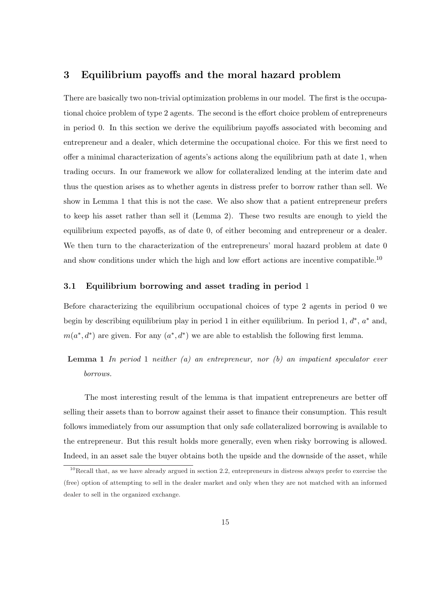## 3 Equilibrium payoffs and the moral hazard problem

There are basically two non-trivial optimization problems in our model. The first is the occupational choice problem of type 2 agents. The second is the effort choice problem of entrepreneurs in period 0. In this section we derive the equilibrium payoffs associated with becoming and entrepreneur and a dealer, which determine the occupational choice. For this we first need to offer a minimal characterization of agents's actions along the equilibrium path at date 1, when trading occurs. In our framework we allow for collateralized lending at the interim date and thus the question arises as to whether agents in distress prefer to borrow rather than sell. We show in Lemma 1 that this is not the case. We also show that a patient entrepreneur prefers to keep his asset rather than sell it (Lemma 2). These two results are enough to yield the equilibrium expected payoffs, as of date 0, of either becoming and entrepreneur or a dealer. We then turn to the characterization of the entrepreneurs' moral hazard problem at date 0 and show conditions under which the high and low effort actions are incentive compatible.<sup>10</sup>

#### 3.1 Equilibrium borrowing and asset trading in period 1

Before characterizing the equilibrium occupational choices of type 2 agents in period 0 we begin by describing equilibrium play in period 1 in either equilibrium. In period 1,  $d^*$ ,  $a^*$  and,  $m(a^*, d^*)$  are given. For any  $(a^*, d^*)$  we are able to establish the following first lemma.

**Lemma 1** In period 1 neither (a) an entrepreneur, nor  $(b)$  an impatient speculator ever borrows.

The most interesting result of the lemma is that impatient entrepreneurs are better off selling their assets than to borrow against their asset to finance their consumption. This result follows immediately from our assumption that only safe collateralized borrowing is available to the entrepreneur. But this result holds more generally, even when risky borrowing is allowed. Indeed, in an asset sale the buyer obtains both the upside and the downside of the asset, while

 $10$ Recall that, as we have already argued in section 2.2, entrepreneurs in distress always prefer to exercise the (free) option of attempting to sell in the dealer market and only when they are not matched with an informed dealer to sell in the organized exchange.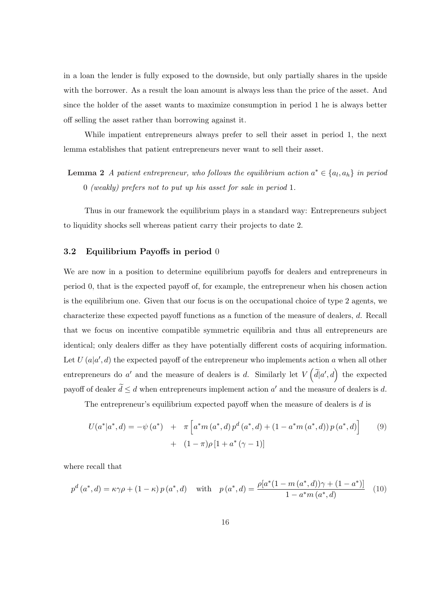in a loan the lender is fully exposed to the downside, but only partially shares in the upside with the borrower. As a result the loan amount is always less than the price of the asset. And since the holder of the asset wants to maximize consumption in period 1 he is always better off selling the asset rather than borrowing against it.

While impatient entrepreneurs always prefer to sell their asset in period 1, the next lemma establishes that patient entrepreneurs never want to sell their asset.

**Lemma 2** A patient entrepreneur, who follows the equilibrium action  $a^* \in \{a_l, a_h\}$  in period 0 (weakly) prefers not to put up his asset for sale in period 1.

Thus in our framework the equilibrium plays in a standard way: Entrepreneurs subject to liquidity shocks sell whereas patient carry their projects to date 2.

### 3.2 Equilibrium Payoffs in period 0

We are now in a position to determine equilibrium payoffs for dealers and entrepreneurs in period 0, that is the expected payoff of, for example, the entrepreneur when his chosen action is the equilibrium one. Given that our focus is on the occupational choice of type 2 agents, we characterize these expected payoff functions as a function of the measure of dealers, d. Recall that we focus on incentive compatible symmetric equilibria and thus all entrepreneurs are identical; only dealers differ as they have potentially different costs of acquiring information. Let  $U(a|a', d)$  the expected payoff of the entrepreneur who implements action a when all other entrepreneurs do a' and the measure of dealers is d. Similarly let  $V(\tilde{d}|a',d)$  the expected  $\ddot{\phantom{1}}$ payoff of dealer  $\tilde{d} \leq d$  when entrepreneurs implement action  $a'$  and the measure of dealers is d.

The entrepreneur's equilibrium expected payoff when the measure of dealers is d is

$$
U(a^*|a^*,d) = -\psi(a^*) + \pi \left[ a^* m(a^*,d) p^d(a^*,d) + (1 - a^* m(a^*,d)) p(a^*,d) \right]
$$
(9)  
+  $(1 - \pi)\rho [1 + a^*(\gamma - 1)]$ 

where recall that

$$
p^{d}(a^{*}, d) = \kappa \gamma \rho + (1 - \kappa) p(a^{*}, d) \quad \text{with} \quad p(a^{*}, d) = \frac{\rho[a^{*}(1 - m(a^{*}, d))\gamma + (1 - a^{*})]}{1 - a^{*}m(a^{*}, d)} \quad (10)
$$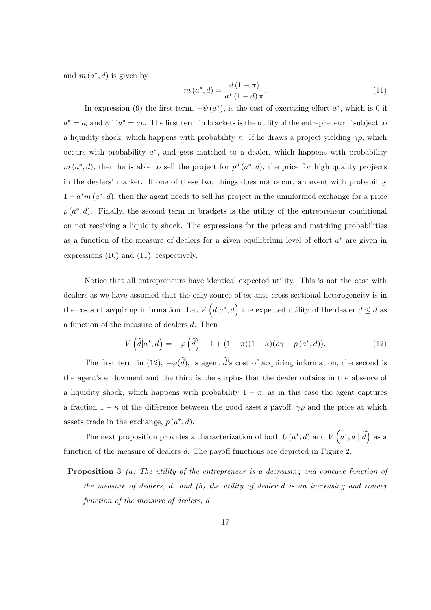and  $m(a^*, d)$  is given by

$$
m(a^*,d) = \frac{d(1-\pi)}{a^*(1-d)\pi}.
$$
\n(11)

In expression (9) the first term,  $-\psi(a^*)$ , is the cost of exercising effort  $a^*$ , which is 0 if  $a^* = a_l$  and  $\psi$  if  $a^* = a_h$ . The first term in brackets is the utility of the entrepreneur if subject to a liquidity shock, which happens with probability  $\pi$ . If he draws a project yielding  $\gamma \rho$ , which occurs with probability  $a^*$ , and gets matched to a dealer, which happens with probability  $m(a^*,d)$ , then he is able to sell the project for  $p^d(a^*,d)$ , the price for high quality projects in the dealers' market. If one of these two things does not occur, an event with probability  $1 - a^*m(a^*, d)$ , then the agent needs to sell his project in the uninformed exchange for a price  $p(a^*,d)$ . Finally, the second term in brackets is the utility of the entrepreneur conditional on not receiving a liquidity shock. The expressions for the prices and matching probabilities as a function of the measure of dealers for a given equilibrium level of effort  $a^*$  are given in expressions (10) and (11), respectively.

Notice that all entrepreneurs have identical expected utility. This is not the case with dealers as we have assumed that the only source of ex-ante cross sectional heterogeneity is in the costs of acquiring information. Let V  $\ddot{\phantom{0}}$  $d[a^*, d]$  the expected utility of the dealer  $\tilde{d} \leq d$  as a function of the measure of dealers d. Then

$$
V\left(\tilde{d}|a^*,d\right) = -\varphi\left(\tilde{d}\right) + 1 + (1-\pi)(1-\kappa)(\rho\gamma - p\left(a^*,d\right)).\tag{12}
$$

The first term in (12),  $-\varphi(\tilde{d})$ , is agent  $\tilde{d}$ 's cost of acquiring information, the second is the agent's endowment and the third is the surplus that the dealer obtains in the absence of a liquidity shock, which happens with probability  $1 - \pi$ , as in this case the agent captures a fraction  $1 - \kappa$  of the difference between the good asset's payoff,  $\gamma \rho$  and the price at which assets trade in the exchange,  $p(a^*, d)$ .  $\overline{a}$ ´

The next proposition provides a characterization of both  $U(a^*, d)$  and V  $a^*, d \mid \tilde{d}$ as a function of the measure of dealers d. The payoff functions are depicted in Figure 2.

Proposition 3 (a) The utility of the entrepreneur is a decreasing and concave function of the measure of dealers, d, and (b) the utility of dealer  $\tilde{d}$  is an increasing and convex function of the measure of dealers, d.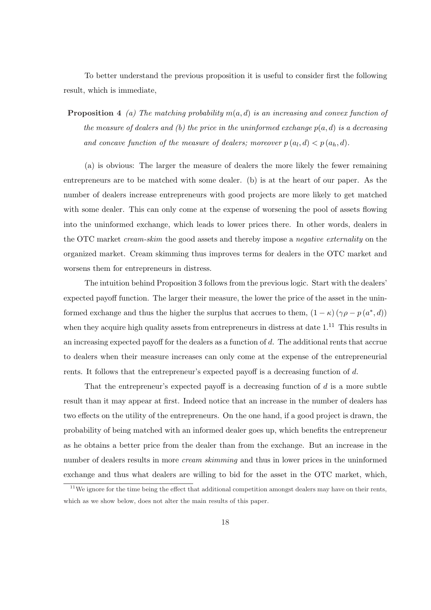To better understand the previous proposition it is useful to consider first the following result, which is immediate,

**Proposition 4** (a) The matching probability  $m(a, d)$  is an increasing and convex function of the measure of dealers and (b) the price in the uninformed exchange  $p(a, d)$  is a decreasing and concave function of the measure of dealers; moreover  $p(a_l, d) < p(a_h, d)$ .

(a) is obvious: The larger the measure of dealers the more likely the fewer remaining entrepreneurs are to be matched with some dealer. (b) is at the heart of our paper. As the number of dealers increase entrepreneurs with good projects are more likely to get matched with some dealer. This can only come at the expense of worsening the pool of assets flowing into the uninformed exchange, which leads to lower prices there. In other words, dealers in the OTC market cream-skim the good assets and thereby impose a negative externality on the organized market. Cream skimming thus improves terms for dealers in the OTC market and worsens them for entrepreneurs in distress.

The intuition behind Proposition 3 follows from the previous logic. Start with the dealers' expected payoff function. The larger their measure, the lower the price of the asset in the uninformed exchange and thus the higher the surplus that accrues to them,  $(1 - \kappa) (\gamma \rho - p(a^*, d))$ when they acquire high quality assets from entrepreneurs in distress at date  $1<sup>11</sup>$  This results in an increasing expected payoff for the dealers as a function of d. The additional rents that accrue to dealers when their measure increases can only come at the expense of the entrepreneurial rents. It follows that the entrepreneur's expected payoff is a decreasing function of d.

That the entrepreneur's expected payoff is a decreasing function of  $d$  is a more subtle result than it may appear at first. Indeed notice that an increase in the number of dealers has two effects on the utility of the entrepreneurs. On the one hand, if a good project is drawn, the probability of being matched with an informed dealer goes up, which benefits the entrepreneur as he obtains a better price from the dealer than from the exchange. But an increase in the number of dealers results in more *cream skimming* and thus in lower prices in the uninformed exchange and thus what dealers are willing to bid for the asset in the OTC market, which,

 $11$ We ignore for the time being the effect that additional competition amongst dealers may have on their rents, which as we show below, does not alter the main results of this paper.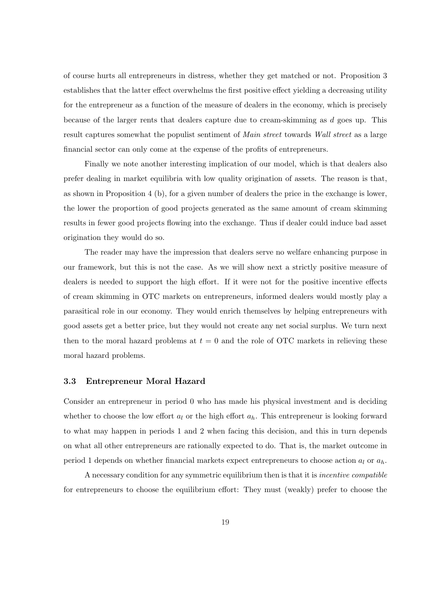of course hurts all entrepreneurs in distress, whether they get matched or not. Proposition 3 establishes that the latter effect overwhelms the first positive effect yielding a decreasing utility for the entrepreneur as a function of the measure of dealers in the economy, which is precisely because of the larger rents that dealers capture due to cream-skimming as d goes up. This result captures somewhat the populist sentiment of Main street towards Wall street as a large financial sector can only come at the expense of the profits of entrepreneurs.

Finally we note another interesting implication of our model, which is that dealers also prefer dealing in market equilibria with low quality origination of assets. The reason is that, as shown in Proposition 4 (b), for a given number of dealers the price in the exchange is lower, the lower the proportion of good projects generated as the same amount of cream skimming results in fewer good projects flowing into the exchange. Thus if dealer could induce bad asset origination they would do so.

The reader may have the impression that dealers serve no welfare enhancing purpose in our framework, but this is not the case. As we will show next a strictly positive measure of dealers is needed to support the high effort. If it were not for the positive incentive effects of cream skimming in OTC markets on entrepreneurs, informed dealers would mostly play a parasitical role in our economy. They would enrich themselves by helping entrepreneurs with good assets get a better price, but they would not create any net social surplus. We turn next then to the moral hazard problems at  $t = 0$  and the role of OTC markets in relieving these moral hazard problems.

#### 3.3 Entrepreneur Moral Hazard

Consider an entrepreneur in period 0 who has made his physical investment and is deciding whether to choose the low effort  $a_l$  or the high effort  $a_h$ . This entrepreneur is looking forward to what may happen in periods 1 and 2 when facing this decision, and this in turn depends on what all other entrepreneurs are rationally expected to do. That is, the market outcome in period 1 depends on whether financial markets expect entrepreneurs to choose action  $a_l$  or  $a_h$ .

A necessary condition for any symmetric equilibrium then is that it is incentive compatible for entrepreneurs to choose the equilibrium effort: They must (weakly) prefer to choose the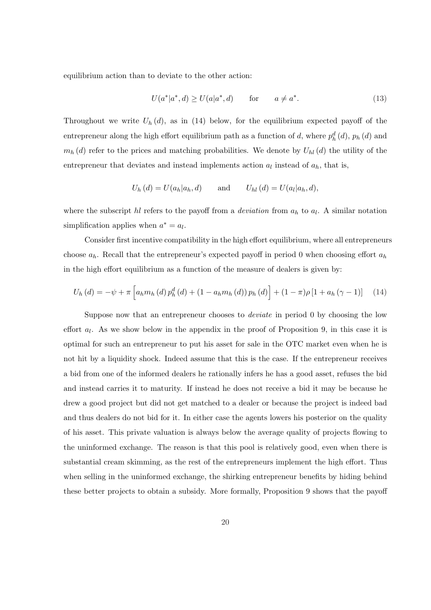equilibrium action than to deviate to the other action:

$$
U(a^*|a^*,d) \ge U(a|a^*,d) \qquad \text{for} \qquad a \ne a^*.
$$
 (13)

Throughout we write  $U_h(d)$ , as in (14) below, for the equilibrium expected payoff of the entrepreneur along the high effort equilibrium path as a function of d, where  $p_h^d(d)$ ,  $p_h(d)$  and  $m_h(d)$  refer to the prices and matching probabilities. We denote by  $U_{hl}(d)$  the utility of the entrepreneur that deviates and instead implements action  $a_l$  instead of  $a_h$ , that is,

$$
U_h(d) = U(a_h|a_h, d) \quad \text{and} \quad U_{hl}(d) = U(a_l|a_h, d),
$$

where the subscript  $hl$  refers to the payoff from a *deviation* from  $a_h$  to  $a_l$ . A similar notation simplification applies when  $a^* = a_l$ .

Consider first incentive compatibility in the high effort equilibrium, where all entrepreneurs choose  $a_h$ . Recall that the entrepreneur's expected payoff in period 0 when choosing effort  $a_h$ in the high effort equilibrium as a function of the measure of dealers is given by:

$$
U_{h}(d) = -\psi + \pi \left[ a_{h} m_{h}(d) p_{h}^{d}(d) + (1 - a_{h} m_{h}(d)) p_{h}(d) \right] + (1 - \pi) \rho \left[ 1 + a_{h} (\gamma - 1) \right] \tag{14}
$$

Suppose now that an entrepreneur chooses to *deviate* in period 0 by choosing the low effort  $a_l$ . As we show below in the appendix in the proof of Proposition 9, in this case it is optimal for such an entrepreneur to put his asset for sale in the OTC market even when he is not hit by a liquidity shock. Indeed assume that this is the case. If the entrepreneur receives a bid from one of the informed dealers he rationally infers he has a good asset, refuses the bid and instead carries it to maturity. If instead he does not receive a bid it may be because he drew a good project but did not get matched to a dealer or because the project is indeed bad and thus dealers do not bid for it. In either case the agents lowers his posterior on the quality of his asset. This private valuation is always below the average quality of projects flowing to the uninformed exchange. The reason is that this pool is relatively good, even when there is substantial cream skimming, as the rest of the entrepreneurs implement the high effort. Thus when selling in the uninformed exchange, the shirking entrepreneur benefits by hiding behind these better projects to obtain a subsidy. More formally, Proposition 9 shows that the payoff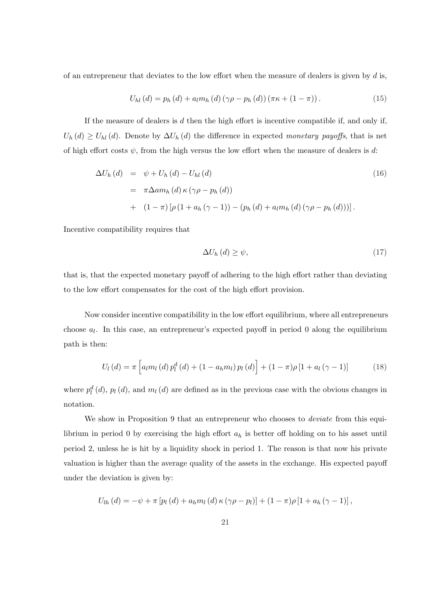of an entrepreneur that deviates to the low effort when the measure of dealers is given by  $d$  is,

$$
U_{hl}(d) = p_h(d) + a_l m_h(d) (\gamma \rho - p_h(d)) (\pi \kappa + (1 - \pi)). \tag{15}
$$

If the measure of dealers is  $d$  then the high effort is incentive compatible if, and only if,  $U_h(d) \ge U_{hl}(d)$ . Denote by  $\Delta U_h(d)$  the difference in expected monetary payoffs, that is net of high effort costs  $\psi$ , from the high versus the low effort when the measure of dealers is d:

$$
\Delta U_h (d) = \psi + U_h (d) - U_{hl} (d)
$$
\n
$$
= \pi \Delta a m_h (d) \kappa (\gamma \rho - p_h (d))
$$
\n
$$
+ (1 - \pi) [\rho (1 + a_h (\gamma - 1)) - (p_h (d) + a_l m_h (d) (\gamma \rho - p_h (d)))].
$$
\n(16)

Incentive compatibility requires that

$$
\Delta U_h\left(d\right) \ge \psi,\tag{17}
$$

that is, that the expected monetary payoff of adhering to the high effort rather than deviating to the low effort compensates for the cost of the high effort provision.

Now consider incentive compatibility in the low effort equilibrium, where all entrepreneurs choose  $a_l$ . In this case, an entrepreneur's expected payoff in period 0 along the equilibrium path is then:

$$
U_{l}(d) = \pi \left[ a_{l} m_{l}(d) p_{l}^{d}(d) + (1 - a_{h} m_{l}) p_{l}(d) \right] + (1 - \pi) \rho \left[ 1 + a_{l} (\gamma - 1) \right]
$$
 (18)

where  $p_l^d(d)$ ,  $p_l(d)$ , and  $m_l(d)$  are defined as in the previous case with the obvious changes in notation.

We show in Proposition 9 that an entrepreneur who chooses to *deviate* from this equilibrium in period 0 by exercising the high effort  $a_h$  is better off holding on to his asset until period 2, unless he is hit by a liquidity shock in period 1. The reason is that now his private valuation is higher than the average quality of the assets in the exchange. His expected payoff under the deviation is given by:

$$
U_{lh}(d) = -\psi + \pi \left[ p_l(d) + a_h m_l(d) \kappa (\gamma \rho - p_l) \right] + (1 - \pi) \rho \left[ 1 + a_h(\gamma - 1) \right],
$$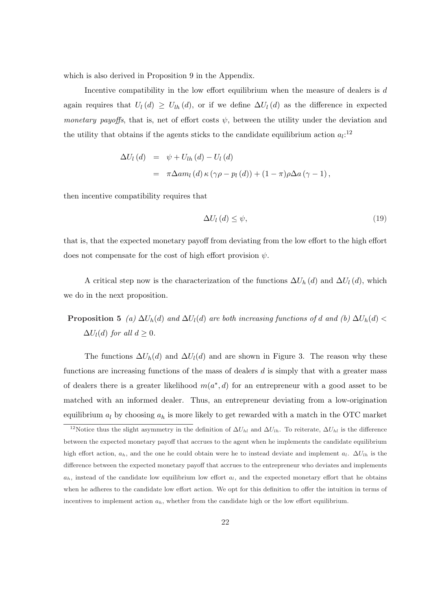which is also derived in Proposition 9 in the Appendix.

Incentive compatibility in the low effort equilibrium when the measure of dealers is  $d$ again requires that  $U_l(d) \geq U_{lh}(d)$ , or if we define  $\Delta U_l(d)$  as the difference in expected monetary payoffs, that is, net of effort costs  $\psi$ , between the utility under the deviation and the utility that obtains if the agents sticks to the candidate equilibrium action  $a_l$ <sup>12</sup>

$$
\Delta U_l (d) = \psi + U_{lh} (d) - U_l (d)
$$
  
=  $\pi \Delta a m_l (d) \kappa (\gamma \rho - p_l (d)) + (1 - \pi) \rho \Delta a (\gamma - 1),$ 

then incentive compatibility requires that

$$
\Delta U_l(d) \le \psi,\tag{19}
$$

that is, that the expected monetary payoff from deviating from the low effort to the high effort does not compensate for the cost of high effort provision  $\psi$ .

A critical step now is the characterization of the functions  $\Delta U_h(d)$  and  $\Delta U_l(d)$ , which we do in the next proposition.

# **Proposition 5** (a)  $\Delta U_h(d)$  and  $\Delta U_l(d)$  are both increasing functions of d and (b)  $\Delta U_h(d)$  <  $\Delta U_l(d)$  for all  $d \geq 0$ .

The functions  $\Delta U_h(d)$  and  $\Delta U_l(d)$  and are shown in Figure 3. The reason why these functions are increasing functions of the mass of dealers  $d$  is simply that with a greater mass of dealers there is a greater likelihood  $m(a^*, d)$  for an entrepreneur with a good asset to be matched with an informed dealer. Thus, an entrepreneur deviating from a low-origination equilibrium  $a_l$  by choosing  $a_h$  is more likely to get rewarded with a match in the OTC market

<sup>&</sup>lt;sup>12</sup>Notice thus the slight asymmetry in the definition of  $\Delta U_{hl}$  and  $\Delta U_{lh}$ . To reiterate,  $\Delta U_{hl}$  is the difference between the expected monetary payoff that accrues to the agent when he implements the candidate equilibrium high effort action,  $a_h$ , and the one he could obtain were he to instead deviate and implement  $a_l$ .  $\Delta U_{lh}$  is the difference between the expected monetary payoff that accrues to the entrepreneur who deviates and implements  $a_h$ , instead of the candidate low equilibrium low effort  $a_l$ , and the expected monetary effort that he obtains when he adheres to the candidate low effort action. We opt for this definition to offer the intuition in terms of incentives to implement action  $a_h$ , whether from the candidate high or the low effort equilibrium.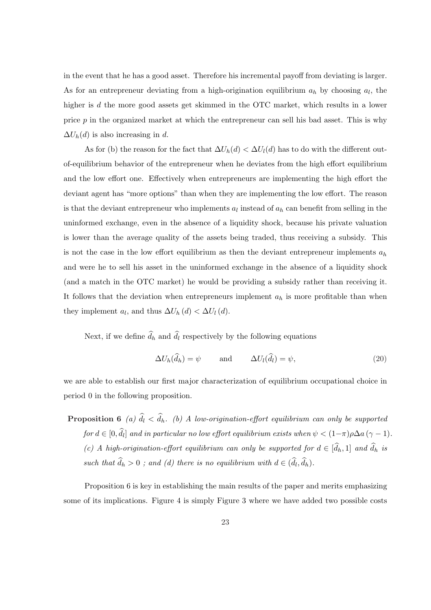in the event that he has a good asset. Therefore his incremental payoff from deviating is larger. As for an entrepreneur deviating from a high-origination equilibrium  $a_h$  by choosing  $a_l$ , the higher is d the more good assets get skimmed in the OTC market, which results in a lower price  $p$  in the organized market at which the entrepreneur can sell his bad asset. This is why  $\Delta U_h(d)$  is also increasing in d.

As for (b) the reason for the fact that  $\Delta U_h(d) < \Delta U_l(d)$  has to do with the different outof-equilibrium behavior of the entrepreneur when he deviates from the high effort equilibrium and the low effort one. Effectively when entrepreneurs are implementing the high effort the deviant agent has "more options" than when they are implementing the low effort. The reason is that the deviant entrepreneur who implements  $a_l$  instead of  $a_h$  can benefit from selling in the uninformed exchange, even in the absence of a liquidity shock, because his private valuation is lower than the average quality of the assets being traded, thus receiving a subsidy. This is not the case in the low effort equilibrium as then the deviant entrepreneur implements  $a_h$ and were he to sell his asset in the uninformed exchange in the absence of a liquidity shock (and a match in the OTC market) he would be providing a subsidy rather than receiving it. It follows that the deviation when entrepreneurs implement  $a_h$  is more profitable than when they implement  $a_l$ , and thus  $\Delta U_h(d) < \Delta U_l(d)$ .

Next, if we define  $\widehat{d}_h$  and  $\widehat{d}_l$  respectively by the following equations

$$
\Delta U_h(\hat{d}_h) = \psi \quad \text{and} \quad \Delta U_l(\hat{d}_l) = \psi,\tag{20}
$$

we are able to establish our first major characterization of equilibrium occupational choice in period 0 in the following proposition.

**Proposition 6** (a)  $\widehat{d}_l < \widehat{d}_h$ . (b) A low-origination-effort equilibrium can only be supported  $\textit{for } d \in [0, \widehat{d}_l] \textit{ and in particular no low effort equilibrium exists when } \psi < (1-\pi)\rho \Delta a \, (\gamma-1).$ (c) A high-origination-effort equilibrium can only be supported for  $d \in [\hat{d}_h, 1]$  and  $\hat{d}_h$  is such that  $\hat{d}_h > 0$ ; and (d) there is no equilibrium with  $d \in (\hat{d}_l, \hat{d}_h)$ .

Proposition 6 is key in establishing the main results of the paper and merits emphasizing some of its implications. Figure 4 is simply Figure 3 where we have added two possible costs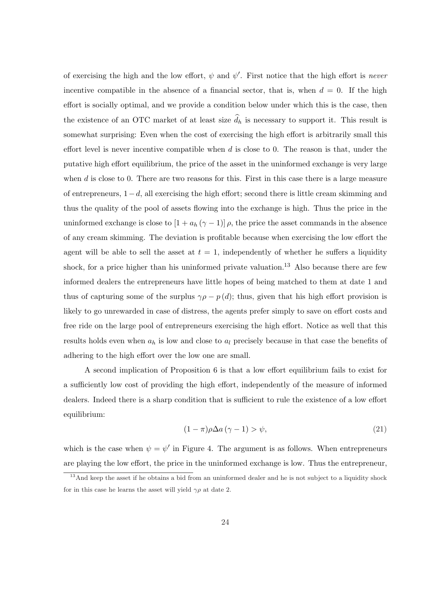of exercising the high and the low effort,  $\psi$  and  $\psi'$ . First notice that the high effort is never incentive compatible in the absence of a financial sector, that is, when  $d = 0$ . If the high effort is socially optimal, and we provide a condition below under which this is the case, then the existence of an OTC market of at least size  $\widehat{d}_h$  is necessary to support it. This result is somewhat surprising: Even when the cost of exercising the high effort is arbitrarily small this effort level is never incentive compatible when  $d$  is close to 0. The reason is that, under the putative high effort equilibrium, the price of the asset in the uninformed exchange is very large when  $d$  is close to 0. There are two reasons for this. First in this case there is a large measure of entrepreneurs, 1−d, all exercising the high effort; second there is little cream skimming and thus the quality of the pool of assets flowing into the exchange is high. Thus the price in the uninformed exchange is close to  $[1 + a_h (\gamma - 1)] \rho$ , the price the asset commands in the absence of any cream skimming. The deviation is profitable because when exercising the low effort the agent will be able to sell the asset at  $t = 1$ , independently of whether he suffers a liquidity shock, for a price higher than his uninformed private valuation.<sup>13</sup> Also because there are few informed dealers the entrepreneurs have little hopes of being matched to them at date 1 and thus of capturing some of the surplus  $\gamma \rho - p(d)$ ; thus, given that his high effort provision is likely to go unrewarded in case of distress, the agents prefer simply to save on effort costs and free ride on the large pool of entrepreneurs exercising the high effort. Notice as well that this results holds even when  $a_h$  is low and close to  $a_l$  precisely because in that case the benefits of adhering to the high effort over the low one are small.

A second implication of Proposition 6 is that a low effort equilibrium fails to exist for a sufficiently low cost of providing the high effort, independently of the measure of informed dealers. Indeed there is a sharp condition that is sufficient to rule the existence of a low effort equilibrium:

$$
(1 - \pi)\rho \Delta a \, (\gamma - 1) > \psi,\tag{21}
$$

which is the case when  $\psi = \psi'$  in Figure 4. The argument is as follows. When entrepreneurs are playing the low effort, the price in the uninformed exchange is low. Thus the entrepreneur,

<sup>&</sup>lt;sup>13</sup>And keep the asset if he obtains a bid from an uninformed dealer and he is not subject to a liquidity shock for in this case he learns the asset will yield  $\gamma \rho$  at date 2.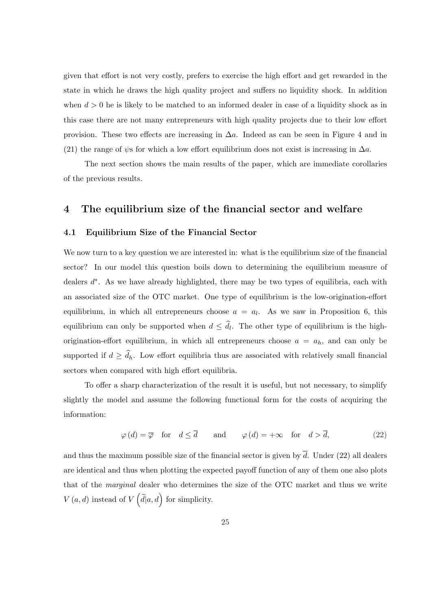given that effort is not very costly, prefers to exercise the high effort and get rewarded in the state in which he draws the high quality project and suffers no liquidity shock. In addition when  $d > 0$  he is likely to be matched to an informed dealer in case of a liquidity shock as in this case there are not many entrepreneurs with high quality projects due to their low effort provision. These two effects are increasing in  $\Delta a$ . Indeed as can be seen in Figure 4 and in (21) the range of  $\psi$ s for which a low effort equilibrium does not exist is increasing in  $\Delta a$ .

The next section shows the main results of the paper, which are immediate corollaries of the previous results.

## 4 The equilibrium size of the financial sector and welfare

#### 4.1 Equilibrium Size of the Financial Sector

We now turn to a key question we are interested in: what is the equilibrium size of the financial sector? In our model this question boils down to determining the equilibrium measure of dealers  $d^*$ . As we have already highlighted, there may be two types of equilibria, each with an associated size of the OTC market. One type of equilibrium is the low-origination-effort equilibrium, in which all entrepreneurs choose  $a = a_l$ . As we saw in Proposition 6, this equilibrium can only be supported when  $d \leq \hat{d}_l$ . The other type of equilibrium is the highorigination-effort equilibrium, in which all entrepreneurs choose  $a = a_h$ , and can only be supported if  $d \geq \hat{d}_h$ . Low effort equilibria thus are associated with relatively small financial sectors when compared with high effort equilibria.

To offer a sharp characterization of the result it is useful, but not necessary, to simplify slightly the model and assume the following functional form for the costs of acquiring the information:

$$
\varphi(d) = \overline{\varphi} \quad \text{for} \quad d \le \overline{d} \qquad \text{and} \qquad \varphi(d) = +\infty \quad \text{for} \quad d > \overline{d}, \tag{22}
$$

and thus the maximum possible size of the financial sector is given by  $\overline{d}$ . Under (22) all dealers are identical and thus when plotting the expected payoff function of any of them one also plots that of the marginal dealer who determines the size of the OTC market and thus we write  $V(a, d)$  instead of V  $\left(\tilde{d}|a, d\right)$  for simplicity.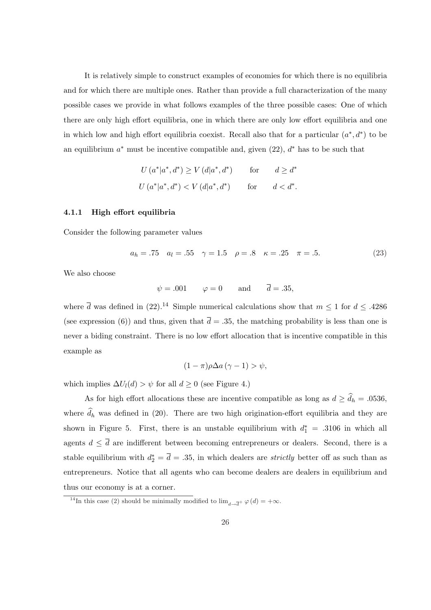It is relatively simple to construct examples of economies for which there is no equilibria and for which there are multiple ones. Rather than provide a full characterization of the many possible cases we provide in what follows examples of the three possible cases: One of which there are only high effort equilibria, one in which there are only low effort equilibria and one in which low and high effort equilibria coexist. Recall also that for a particular  $(a^*, d^*)$  to be an equilibrium  $a^*$  must be incentive compatible and, given  $(22)$ ,  $d^*$  has to be such that

$$
U(a^*|a^*,d^*) \ge V(d|a^*,d^*) \qquad \text{for} \qquad d \ge d^*
$$
  

$$
U(a^*|a^*,d^*) < V(d|a^*,d^*) \qquad \text{for} \qquad d < d^*.
$$

#### 4.1.1 High effort equilibria

Consider the following parameter values

$$
a_h = .75 \quad a_l = .55 \quad \gamma = 1.5 \quad \rho = .8 \quad \kappa = .25 \quad \pi = .5. \tag{23}
$$

We also choose

$$
\psi = .001
$$
  $\varphi = 0$  and  $\overline{d} = .35$ ,

where  $\overline{d}$  was defined in (22).<sup>14</sup> Simple numerical calculations show that  $m \leq 1$  for  $d \leq .4286$ (see expression (6)) and thus, given that  $\overline{d} = .35$ , the matching probability is less than one is never a biding constraint. There is no low effort allocation that is incentive compatible in this example as

$$
(1 - \pi)\rho \Delta a \, (\gamma - 1) > \psi,
$$

which implies  $\Delta U_l(d) > \psi$  for all  $d \geq 0$  (see Figure 4.)

As for high effort allocations these are incentive compatible as long as  $d \geq \widehat{d}_h = .0536$ , where  $\hat{d}_h$  was defined in (20). There are two high origination-effort equilibria and they are shown in Figure 5. First, there is an unstable equilibrium with  $d_1^* = .3106$  in which all agents  $d \leq \overline{d}$  are indifferent between becoming entrepreneurs or dealers. Second, there is a stable equilibrium with  $d_2^* = \bar{d} = .35$ , in which dealers are *strictly* better off as such than as entrepreneurs. Notice that all agents who can become dealers are dealers in equilibrium and thus our economy is at a corner.

<sup>&</sup>lt;sup>14</sup>In this case (2) should be minimally modified to  $\lim_{d\to \overline{d}^+} \varphi(d) = +\infty$ .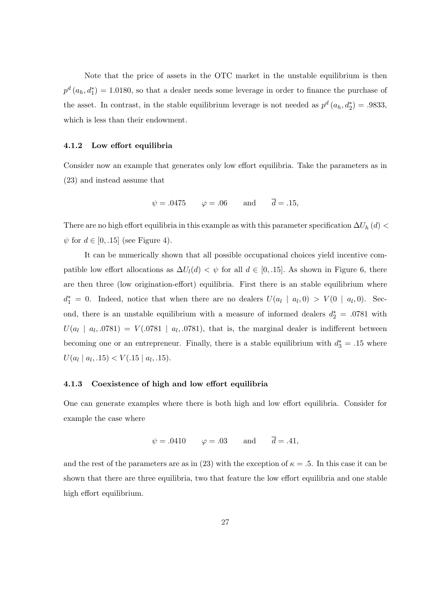Note that the price of assets in the OTC market in the unstable equilibrium is then  $p^d$   $(a_h, d_1^*)$  = 1.0180, so that a dealer needs some leverage in order to finance the purchase of the asset. In contrast, in the stable equilibrium leverage is not needed as  $p^d(a_h, d_2^*) = .9833$ , which is less than their endowment.

#### 4.1.2 Low effort equilibria

Consider now an example that generates only low effort equilibria. Take the parameters as in (23) and instead assume that

$$
\psi = .0475
$$
  $\varphi = .06$  and  $\overline{d} = .15$ ,

There are no high effort equilibria in this example as with this parameter specification  $\Delta U_h(d)$  <  $\psi$  for  $d \in [0, .15]$  (see Figure 4).

It can be numerically shown that all possible occupational choices yield incentive compatible low effort allocations as  $\Delta U_l(d) < \psi$  for all  $d \in [0, 15]$ . As shown in Figure 6, there are then three (low origination-effort) equilibria. First there is an stable equilibrium where  $d_1^* = 0$ . Indeed, notice that when there are no dealers  $U(a_l \mid a_l, 0) > V(0 \mid a_l, 0)$ . Second, there is an unstable equilibrium with a measure of informed dealers  $d_2^* = .0781$  with  $U(a_l \mid a_l, .0781) = V(.0781 \mid a_l, .0781)$ , that is, the marginal dealer is indifferent between becoming one or an entrepreneur. Finally, there is a stable equilibrium with  $d_3^* = .15$  where  $U(a_l \mid a_l, .15) < V(.15 \mid a_l, .15).$ 

#### 4.1.3 Coexistence of high and low effort equilibria

One can generate examples where there is both high and low effort equilibria. Consider for example the case where

$$
\psi = .0410
$$
  $\varphi = .03$  and  $\overline{d} = .41$ ,

and the rest of the parameters are as in (23) with the exception of  $\kappa = .5$ . In this case it can be shown that there are three equilibria, two that feature the low effort equilibria and one stable high effort equilibrium.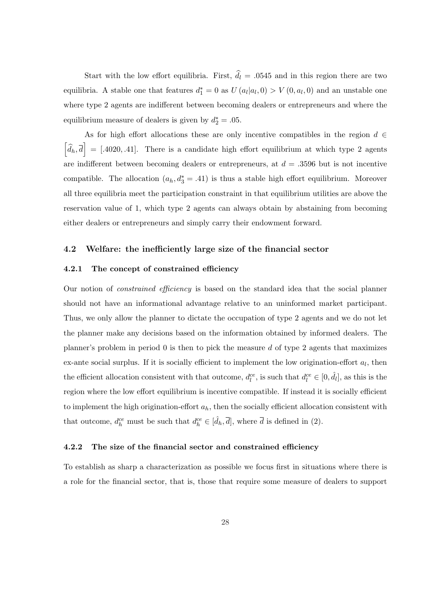Start with the low effort equilibria. First,  $\hat{d}_l = .0545$  and in this region there are two equilibria. A stable one that features  $d_1^* = 0$  as  $U(a_l|a_l, 0) > V(0, a_l, 0)$  and an unstable one where type 2 agents are indifferent between becoming dealers or entrepreneurs and where the equilibrium measure of dealers is given by  $d_2^* = .05$ .

As for high effort allocations these are only incentive compatibles in the region  $d \in$ h  $\left| \widehat{d}_{h}, \overline{d} \right| = [0.4020, 0.41].$  There is a candidate high effort equilibrium at which type 2 agents .<br>T are indifferent between becoming dealers or entrepreneurs, at  $d = .3596$  but is not incentive compatible. The allocation  $(a_h, d_3^* = .41)$  is thus a stable high effort equilibrium. Moreover all three equilibria meet the participation constraint in that equilibrium utilities are above the reservation value of 1, which type 2 agents can always obtain by abstaining from becoming either dealers or entrepreneurs and simply carry their endowment forward.

#### 4.2 Welfare: the inefficiently large size of the financial sector

#### 4.2.1 The concept of constrained efficiency

Our notion of constrained efficiency is based on the standard idea that the social planner should not have an informational advantage relative to an uninformed market participant. Thus, we only allow the planner to dictate the occupation of type 2 agents and we do not let the planner make any decisions based on the information obtained by informed dealers. The planner's problem in period  $\theta$  is then to pick the measure d of type 2 agents that maximizes ex-ante social surplus. If it is socially efficient to implement the low origination-effort  $a_l$ , then the efficient allocation consistent with that outcome,  $d_l^{ce}$ , is such that  $d_l^{ce} \in [0, \hat{d}_l]$ , as this is the region where the low effort equilibrium is incentive compatible. If instead it is socially efficient to implement the high origination-effort  $a_h$ , then the socially efficient allocation consistent with that outcome,  $d_h^{ce}$  must be such that  $d_h^{ce} \in [\hat{d}_h, \overline{d}]$ , where  $\overline{d}$  is defined in (2).

#### 4.2.2 The size of the financial sector and constrained efficiency

To establish as sharp a characterization as possible we focus first in situations where there is a role for the financial sector, that is, those that require some measure of dealers to support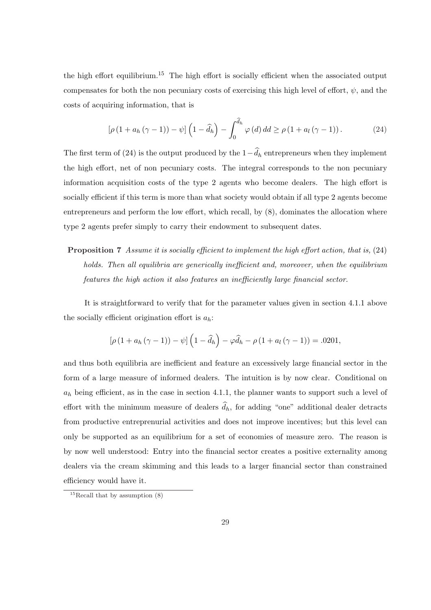the high effort equilibrium.<sup>15</sup> The high effort is socially efficient when the associated output compensates for both the non pecuniary costs of exercising this high level of effort,  $\psi$ , and the costs of acquiring information, that is

$$
\left[\rho\left(1+a_h\left(\gamma-1\right)\right)-\psi\right]\left(1-\widehat{d}_h\right)-\int_0^{\widehat{d}_h}\varphi\left(d\right)dd\geq\rho\left(1+a_l\left(\gamma-1\right)\right). \tag{24}
$$

The first term of (24) is the output produced by the  $1-\widehat{d}_h$  entrepreneurs when they implement the high effort, net of non pecuniary costs. The integral corresponds to the non pecuniary information acquisition costs of the type 2 agents who become dealers. The high effort is socially efficient if this term is more than what society would obtain if all type 2 agents become entrepreneurs and perform the low effort, which recall, by (8), dominates the allocation where type 2 agents prefer simply to carry their endowment to subsequent dates.

# Proposition 7 Assume it is socially efficient to implement the high effort action, that is, (24) holds. Then all equilibria are generically inefficient and, moreover, when the equilibrium features the high action it also features an inefficiently large financial sector.

It is straightforward to verify that for the parameter values given in section 4.1.1 above the socially efficient origination effort is  $a_h$ :

$$
\left[\rho\left(1+a_h\left(\gamma-1\right)\right)-\psi\right]\left(1-\widehat{d}_h\right)-\varphi\widehat{d}_h-\rho\left(1+a_l\left(\gamma-1\right)\right)=.0201,
$$

and thus both equilibria are inefficient and feature an excessively large financial sector in the form of a large measure of informed dealers. The intuition is by now clear. Conditional on  $a_h$  being efficient, as in the case in section 4.1.1, the planner wants to support such a level of effort with the minimum measure of dealers  $\widehat{d}_h$ , for adding "one" additional dealer detracts from productive entreprenurial activities and does not improve incentives; but this level can only be supported as an equilibrium for a set of economies of measure zero. The reason is by now well understood: Entry into the financial sector creates a positive externality among dealers via the cream skimming and this leads to a larger financial sector than constrained efficiency would have it.

<sup>&</sup>lt;sup>15</sup>Recall that by assumption  $(8)$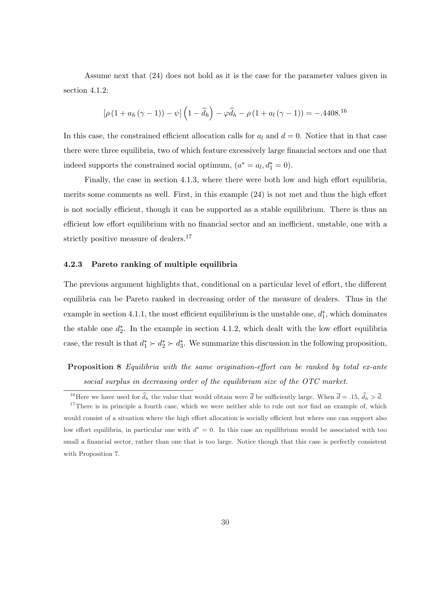Assume next that (24) does not hold as it is the case for the parameter values given in section 4.1.2:

$$
[\rho (1 + a_h (\gamma - 1)) - \psi] (1 - \hat{d}_h) - \varphi \hat{d}_h - \rho (1 + a_l (\gamma - 1)) = -.4408^{16}
$$

In this case, the constrained efficient allocation calls for  $a_l$  and  $d = 0$ . Notice that in that case there were three equilibria, two of which feature excessively large financial sectors and one that indeed supports the constrained social optimum,  $(a^* = a_l, d_1^* = 0)$ .

Finally, the case in section 4.1.3, where there were both low and high effort equilibria, merits some comments as well. First, in this example (24) is not met and thus the high effort is not socially efficient, though it can be supported as a stable equilibrium. There is thus an efficient low effort equilibrium with no financial sector and an inefficient, unstable, one with a strictly positive measure of dealers.<sup>17</sup>

#### 4.2.3 Pareto ranking of multiple equilibria

The previous argument highlights that, conditional on a particular level of effort, the different equilibria can be Pareto ranked in decreasing order of the measure of dealers. Thus in the example in section 4.1.1, the most efficient equilibrium is the unstable one,  $d_1^*$ , which dominates the stable one  $d_2^*$ . In the example in section 4.1.2, which dealt with the low effort equilibria case, the result is that  $d_1^* \succ d_2^* \succ d_3^*$ . We summarize this discussion in the following proposition,

Proposition 8 Equilibria with the same origination-effort can be ranked by total ex-ante social surplus in decreasing order of the equilibrium size of the OTC market.

<sup>&</sup>lt;sup>16</sup>Here we have used for  $\hat{d}_h$  the value that would obtain were  $\overline{d}$  be sufficiently large. When  $\overline{d} = .15$ ,  $\hat{d}_h > \overline{d}$ .

<sup>&</sup>lt;sup>17</sup>There is in principle a fourth case, which we were neither able to rule out nor find an example of, which would consist of a situation where the high effort allocation is socially efficient but where one can support also low effort equilibria, in particular one with  $d^* = 0$ . In this case an equilibrium would be associated with too small a financial sector, rather than one that is too large. Notice though that this case is perfectly consistent with Proposition 7.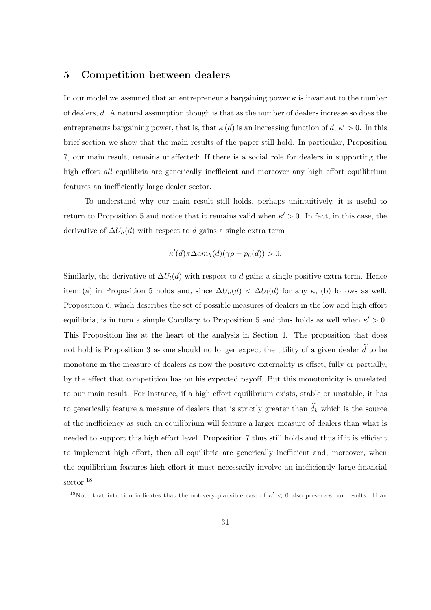## 5 Competition between dealers

In our model we assumed that an entrepreneur's bargaining power  $\kappa$  is invariant to the number of dealers, d. A natural assumption though is that as the number of dealers increase so does the entrepreneurs bargaining power, that is, that  $\kappa(d)$  is an increasing function of  $d, \kappa' > 0$ . In this brief section we show that the main results of the paper still hold. In particular, Proposition 7, our main result, remains unaffected: If there is a social role for dealers in supporting the high effort *all* equilibria are generically inefficient and moreover any high effort equilibrium features an inefficiently large dealer sector.

To understand why our main result still holds, perhaps unintuitively, it is useful to return to Proposition 5 and notice that it remains valid when  $\kappa' > 0$ . In fact, in this case, the derivative of  $\Delta U_h(d)$  with respect to d gains a single extra term

$$
\kappa'(d)\pi \Delta a m_h(d)(\gamma \rho - p_h(d)) > 0.
$$

Similarly, the derivative of  $\Delta U_l(d)$  with respect to d gains a single positive extra term. Hence item (a) in Proposition 5 holds and, since  $\Delta U_h(d) < \Delta U_l(d)$  for any  $\kappa$ , (b) follows as well. Proposition 6, which describes the set of possible measures of dealers in the low and high effort equilibria, is in turn a simple Corollary to Proposition 5 and thus holds as well when  $\kappa' > 0$ . This Proposition lies at the heart of the analysis in Section 4. The proposition that does not hold is Proposition 3 as one should no longer expect the utility of a given dealer  $\tilde{d}$  to be monotone in the measure of dealers as now the positive externality is offset, fully or partially, by the effect that competition has on his expected payoff. But this monotonicity is unrelated to our main result. For instance, if a high effort equilibrium exists, stable or unstable, it has to generically feature a measure of dealers that is strictly greater than  $\widehat{d}_h$  which is the source of the inefficiency as such an equilibrium will feature a larger measure of dealers than what is needed to support this high effort level. Proposition 7 thus still holds and thus if it is efficient to implement high effort, then all equilibria are generically inefficient and, moreover, when the equilibrium features high effort it must necessarily involve an inefficiently large financial sector.<sup>18</sup>

<sup>&</sup>lt;sup>18</sup>Note that intuition indicates that the not-very-plausible case of  $\kappa' < 0$  also preserves our results. If an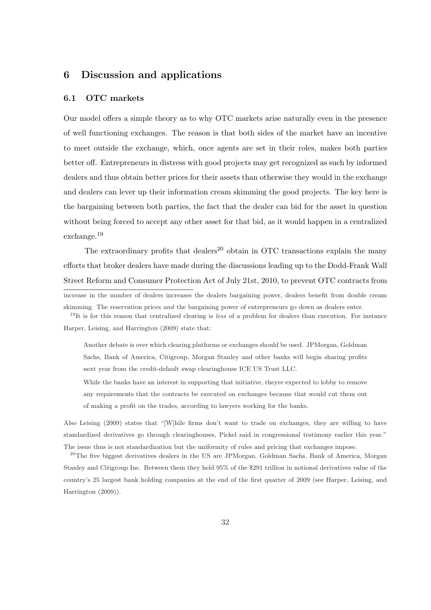## 6 Discussion and applications

#### 6.1 OTC markets

Our model offers a simple theory as to why OTC markets arise naturally even in the presence of well functioning exchanges. The reason is that both sides of the market have an incentive to meet outside the exchange, which, once agents are set in their roles, makes both parties better off. Entrepreneurs in distress with good projects may get recognized as such by informed dealers and thus obtain better prices for their assets than otherwise they would in the exchange and dealers can lever up their information cream skimming the good projects. The key here is the bargaining between both parties, the fact that the dealer can bid for the asset in question without being forced to accept any other asset for that bid, as it would happen in a centralized exchange.<sup>19</sup>

The extraordinary profits that dealers<sup>20</sup> obtain in OTC transactions explain the many efforts that broker dealers have made during the discussions leading up to the Dodd-Frank Wall Street Reform and Consumer Protection Act of July 21st, 2010, to prevent OTC contracts from

increase in the number of dealers increases the dealers bargaining power, dealers benefit from double cream skimming. The reservation prices and the bargaining power of entrepreneurs go down as dealers enter.

 $19$ It is for this reason that centralized clearing is less of a problem for dealers than execution. For instance Harper, Leising, and Harrington (2009) state that:

Another debate is over which clearing platforms or exchanges should be used. JPMorgan, Goldman Sachs, Bank of America, Citigroup, Morgan Stanley and other banks will begin sharing profits next year from the credit-default swap clearinghouse ICE US Trust LLC.

While the banks have an interest in supporting that initiative, theyre expected to lobby to remove any requirements that the contracts be executed on exchanges because that would cut them out of making a profit on the trades, according to lawyers working for the banks.

Also Leising (2009) states that "[W]hile firms don't want to trade on exchanges, they are willing to have standardized derivatives go through clearinghouses, Pickel said in congressional testimony earlier this year." The issue thus is not standardization but the uniformity of rules and pricing that exchanges impose.

<sup>20</sup>The five biggest derivatives dealers in the US are JPMorgan, Goldman Sachs, Bank of America, Morgan Stanley and Citigroup Inc. Between them they held 95% of the \$291 trillion in notional derivatives value of the country's 25 largest bank holding companies at the end of the first quarter of 2009 (see Harper, Leising, and Harrington (2009)).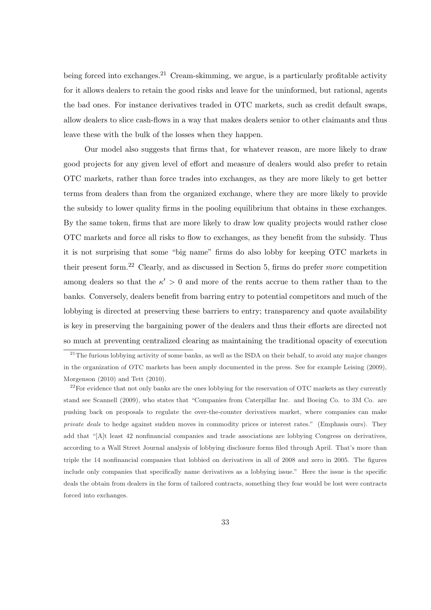being forced into exchanges.<sup>21</sup> Cream-skimming, we argue, is a particularly profitable activity for it allows dealers to retain the good risks and leave for the uninformed, but rational, agents the bad ones. For instance derivatives traded in OTC markets, such as credit default swaps, allow dealers to slice cash-flows in a way that makes dealers senior to other claimants and thus leave these with the bulk of the losses when they happen.

Our model also suggests that firms that, for whatever reason, are more likely to draw good projects for any given level of effort and measure of dealers would also prefer to retain OTC markets, rather than force trades into exchanges, as they are more likely to get better terms from dealers than from the organized exchange, where they are more likely to provide the subsidy to lower quality firms in the pooling equilibrium that obtains in these exchanges. By the same token, firms that are more likely to draw low quality projects would rather close OTC markets and force all risks to flow to exchanges, as they benefit from the subsidy. Thus it is not surprising that some "big name" firms do also lobby for keeping OTC markets in their present form.<sup>22</sup> Clearly, and as discussed in Section 5, firms do prefer more competition among dealers so that the  $\kappa' > 0$  and more of the rents accrue to them rather than to the banks. Conversely, dealers benefit from barring entry to potential competitors and much of the lobbying is directed at preserving these barriers to entry; transparency and quote availability is key in preserving the bargaining power of the dealers and thus their efforts are directed not so much at preventing centralized clearing as maintaining the traditional opacity of execution

<sup>&</sup>lt;sup>21</sup>The furious lobbying activity of some banks, as well as the ISDA on their behalf, to avoid any major changes in the organization of OTC markets has been amply documented in the press. See for example Leising (2009), Morgenson (2010) and Tett (2010).

<sup>&</sup>lt;sup>22</sup>For evidence that not only banks are the ones lobbying for the reservation of OTC markets as they currently stand see Scannell (2009), who states that "Companies from Caterpillar Inc. and Boeing Co. to 3M Co. are pushing back on proposals to regulate the over-the-counter derivatives market, where companies can make private deals to hedge against sudden moves in commodity prices or interest rates." (Emphasis ours). They add that "[A]t least 42 nonfinancial companies and trade associations are lobbying Congress on derivatives, according to a Wall Street Journal analysis of lobbying disclosure forms filed through April. That's more than triple the 14 nonfinancial companies that lobbied on derivatives in all of 2008 and zero in 2005. The figures include only companies that specifically name derivatives as a lobbying issue." Here the issue is the specific deals the obtain from dealers in the form of tailored contracts, something they fear would be lost were contracts forced into exchanges.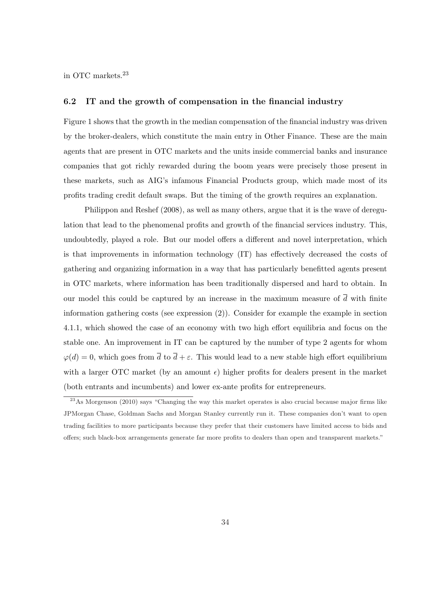in OTC markets.<sup>23</sup>

#### 6.2 IT and the growth of compensation in the financial industry

Figure 1 shows that the growth in the median compensation of the financial industry was driven by the broker-dealers, which constitute the main entry in Other Finance. These are the main agents that are present in OTC markets and the units inside commercial banks and insurance companies that got richly rewarded during the boom years were precisely those present in these markets, such as AIG's infamous Financial Products group, which made most of its profits trading credit default swaps. But the timing of the growth requires an explanation.

Philippon and Reshef (2008), as well as many others, argue that it is the wave of deregulation that lead to the phenomenal profits and growth of the financial services industry. This, undoubtedly, played a role. But our model offers a different and novel interpretation, which is that improvements in information technology (IT) has effectively decreased the costs of gathering and organizing information in a way that has particularly benefitted agents present in OTC markets, where information has been traditionally dispersed and hard to obtain. In our model this could be captured by an increase in the maximum measure of  $\overline{d}$  with finite information gathering costs (see expression (2)). Consider for example the example in section 4.1.1, which showed the case of an economy with two high effort equilibria and focus on the stable one. An improvement in IT can be captured by the number of type 2 agents for whom  $\varphi(d) = 0$ , which goes from  $\overline{d}$  to  $\overline{d} + \varepsilon$ . This would lead to a new stable high effort equilibrium with a larger OTC market (by an amount  $\epsilon$ ) higher profits for dealers present in the market (both entrants and incumbents) and lower ex-ante profits for entrepreneurs.

 $^{23}$ As Morgenson (2010) says "Changing the way this market operates is also crucial because major firms like JPMorgan Chase, Goldman Sachs and Morgan Stanley currently run it. These companies don't want to open trading facilities to more participants because they prefer that their customers have limited access to bids and offers; such black-box arrangements generate far more profits to dealers than open and transparent markets."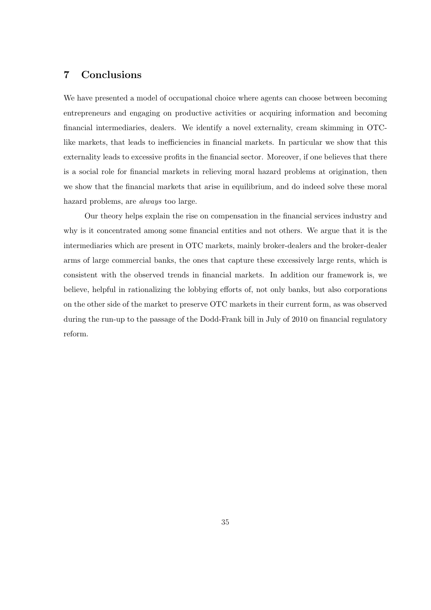## 7 Conclusions

We have presented a model of occupational choice where agents can choose between becoming entrepreneurs and engaging on productive activities or acquiring information and becoming financial intermediaries, dealers. We identify a novel externality, cream skimming in OTClike markets, that leads to inefficiencies in financial markets. In particular we show that this externality leads to excessive profits in the financial sector. Moreover, if one believes that there is a social role for financial markets in relieving moral hazard problems at origination, then we show that the financial markets that arise in equilibrium, and do indeed solve these moral hazard problems, are always too large.

Our theory helps explain the rise on compensation in the financial services industry and why is it concentrated among some financial entities and not others. We argue that it is the intermediaries which are present in OTC markets, mainly broker-dealers and the broker-dealer arms of large commercial banks, the ones that capture these excessively large rents, which is consistent with the observed trends in financial markets. In addition our framework is, we believe, helpful in rationalizing the lobbying efforts of, not only banks, but also corporations on the other side of the market to preserve OTC markets in their current form, as was observed during the run-up to the passage of the Dodd-Frank bill in July of 2010 on financial regulatory reform.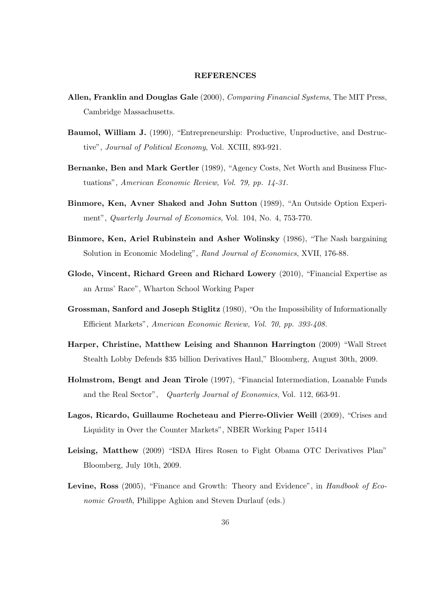#### REFERENCES

- Allen, Franklin and Douglas Gale (2000), *Comparing Financial Systems*, The MIT Press, Cambridge Massachusetts.
- Baumol, William J. (1990), "Entrepreneurship: Productive, Unproductive, and Destructive", Journal of Political Economy, Vol. XCIII, 893-921.
- Bernanke, Ben and Mark Gertler (1989), "Agency Costs, Net Worth and Business Fluctuations", American Economic Review, Vol. 79, pp. 14-31.
- Binmore, Ken, Avner Shaked and John Sutton (1989), "An Outside Option Experiment", Quarterly Journal of Economics, Vol. 104, No. 4, 753-770.
- Binmore, Ken, Ariel Rubinstein and Asher Wolinsky (1986), "The Nash bargaining Solution in Economic Modeling", Rand Journal of Economics, XVII, 176-88.
- Glode, Vincent, Richard Green and Richard Lowery (2010), "Financial Expertise as an Arms' Race", Wharton School Working Paper
- Grossman, Sanford and Joseph Stiglitz (1980), "On the Impossibility of Informationally Efficient Markets", American Economic Review, Vol. 70, pp. 393-408.
- Harper, Christine, Matthew Leising and Shannon Harrington (2009) "Wall Street Stealth Lobby Defends \$35 billion Derivatives Haul," Bloomberg, August 30th, 2009.
- Holmstrom, Bengt and Jean Tirole (1997), "Financial Intermediation, Loanable Funds and the Real Sector", Quarterly Journal of Economics, Vol. 112, 663-91.
- Lagos, Ricardo, Guillaume Rocheteau and Pierre-Olivier Weill (2009), "Crises and Liquidity in Over the Counter Markets", NBER Working Paper 15414
- Leising, Matthew (2009) "ISDA Hires Rosen to Fight Obama OTC Derivatives Plan" Bloomberg, July 10th, 2009.
- Levine, Ross (2005), "Finance and Growth: Theory and Evidence", in Handbook of Economic Growth, Philippe Aghion and Steven Durlauf (eds.)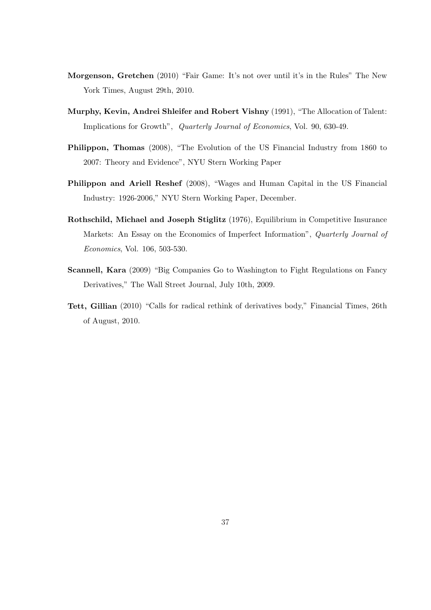- Morgenson, Gretchen (2010) "Fair Game: It's not over until it's in the Rules" The New York Times, August 29th, 2010.
- Murphy, Kevin, Andrei Shleifer and Robert Vishny (1991), "The Allocation of Talent: Implications for Growth", Quarterly Journal of Economics, Vol. 90, 630-49.
- Philippon, Thomas (2008), "The Evolution of the US Financial Industry from 1860 to 2007: Theory and Evidence", NYU Stern Working Paper
- Philippon and Ariell Reshef (2008), "Wages and Human Capital in the US Financial Industry: 1926-2006," NYU Stern Working Paper, December.
- Rothschild, Michael and Joseph Stiglitz (1976), Equilibrium in Competitive Insurance Markets: An Essay on the Economics of Imperfect Information", Quarterly Journal of Economics, Vol. 106, 503-530.
- Scannell, Kara (2009) "Big Companies Go to Washington to Fight Regulations on Fancy Derivatives," The Wall Street Journal, July 10th, 2009.
- Tett, Gillian (2010) "Calls for radical rethink of derivatives body," Financial Times, 26th of August, 2010.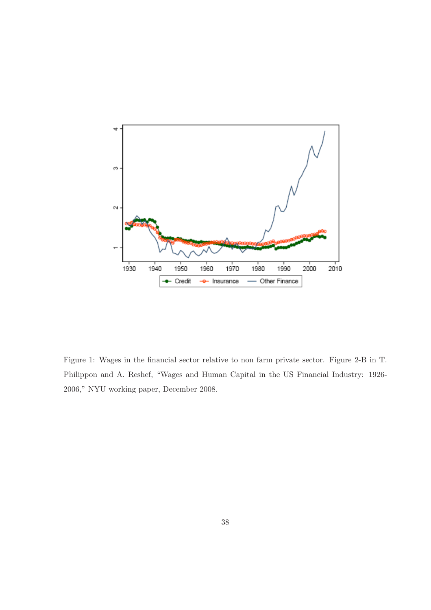

Figure 1: Wages in the financial sector relative to non farm private sector. Figure 2-B in T. Philippon and A. Reshef, "Wages and Human Capital in the US Financial Industry: 1926- 2006," NYU working paper, December 2008.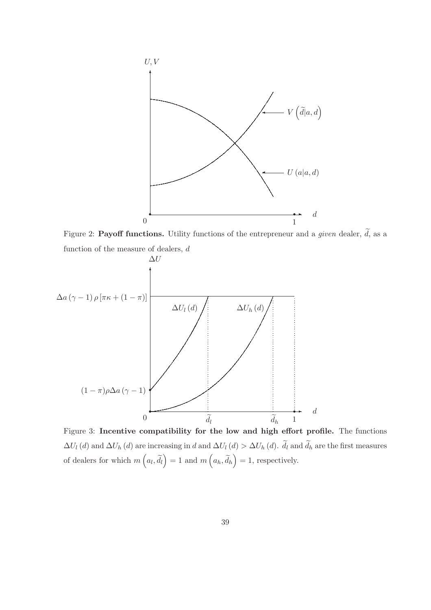

Figure 2: Payoff functions. Utility functions of the entrepreneur and a given dealer,  $\tilde{d}$ , as a function of the measure of dealers,  $d$ 



Figure 3: Incentive compatibility for the low and high effort profile. The functions  $\Delta U_l(d)$  and  $\Delta U_h(d)$  are increasing in d and  $\Delta U_l(d) > \Delta U_h(d)$ .  $\tilde{d}_l$  and  $\tilde{d}_h$  are the first measures of dealers for which  $m\left(a_l, \tilde{d}_l\right) = 1$  and  $m\left(a_h, \tilde{d}_h\right) = 1$ , respectively.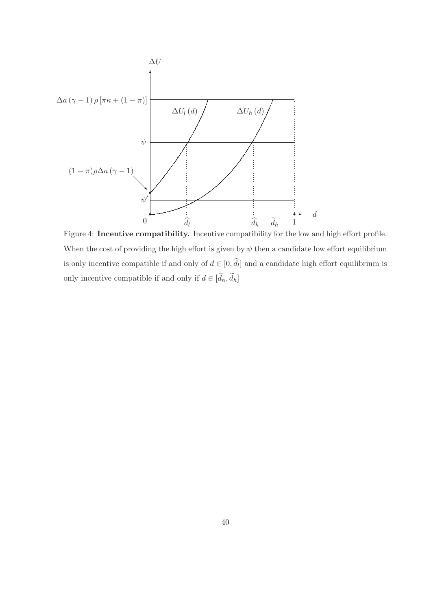

Figure 4: Incentive compatibility. Incentive compatibility for the low and high effort profile. When the cost of providing the high effort is given by  $\psi$  then a candidate low effort equilibrium is only incentive compatible if and only of  $d \in [0, \hat{d}_l]$  and a candidate high effort equilibrium is only incentive compatible if and only if  $d \in [\hat{d}_h, \tilde{d}_h]$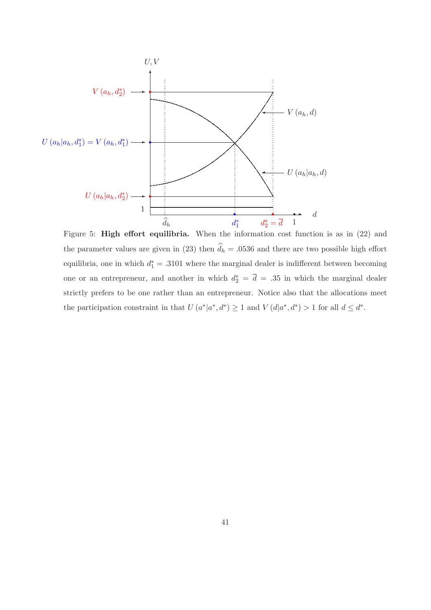

Figure 5: **High effort equilibria.** When the information cost function is as in (22) and the parameter values are given in (23) then  $\widehat{d}_h = 0.0536$  and there are two possible high effort equilibria, one in which  $d_1^* = .3101$  where the marginal dealer is indifferent between becoming one or an entrepreneur, and another in which  $d_2^* = \overline{d} = .35$  in which the marginal dealer strictly prefers to be one rather than an entrepreneur. Notice also that the allocations meet the participation constraint in that  $U(a^*|a^*, a^*) \geq 1$  and  $V(d|a^*, a^*) > 1$  for all  $d \leq d^*$ .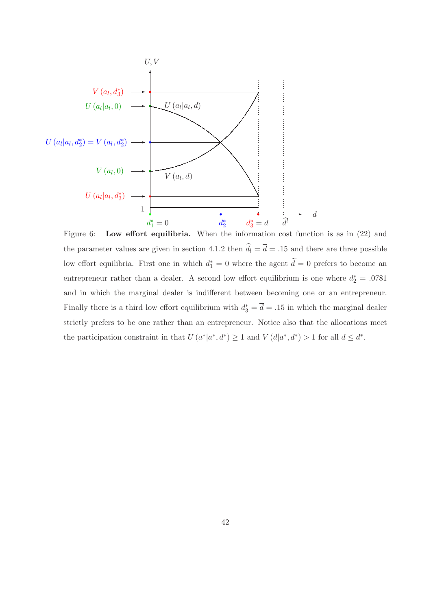

Figure 6: Low effort equilibria. When the information cost function is as in  $(22)$  and the parameter values are given in section 4.1.2 then  $\hat{d}_l = \bar{d} = .15$  and there are three possible low effort equilibria. First one in which  $d_1^* = 0$  where the agent  $\tilde{d} = 0$  prefers to become an entrepreneur rather than a dealer. A second low effort equilibrium is one where  $d_2^* = .0781$ and in which the marginal dealer is indifferent between becoming one or an entrepreneur. Finally there is a third low effort equilibrium with  $d_3^* = \overline{d} = .15$  in which the marginal dealer strictly prefers to be one rather than an entrepreneur. Notice also that the allocations meet the participation constraint in that  $U(a^*|a^*, d^*) \geq 1$  and  $V(d|a^*, d^*) > 1$  for all  $d \leq d^*$ .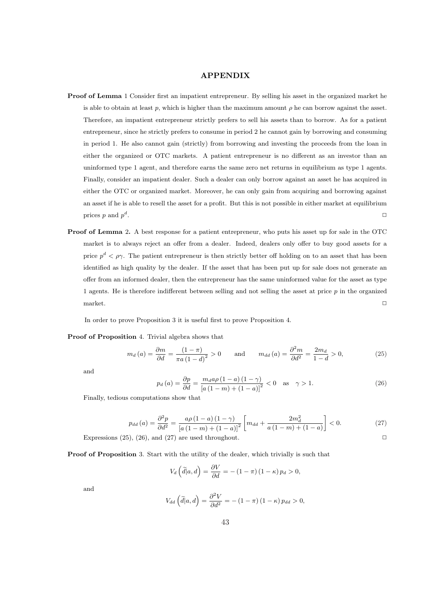### APPENDIX

- Proof of Lemma 1 Consider first an impatient entrepreneur. By selling his asset in the organized market he is able to obtain at least p, which is higher than the maximum amount  $\rho$  he can borrow against the asset. Therefore, an impatient entrepreneur strictly prefers to sell his assets than to borrow. As for a patient entrepreneur, since he strictly prefers to consume in period 2 he cannot gain by borrowing and consuming in period 1. He also cannot gain (strictly) from borrowing and investing the proceeds from the loan in either the organized or OTC markets. A patient entrepreneur is no different as an investor than an uninformed type 1 agent, and therefore earns the same zero net returns in equilibrium as type 1 agents. Finally, consider an impatient dealer. Such a dealer can only borrow against an asset he has acquired in either the OTC or organized market. Moreover, he can only gain from acquiring and borrowing against an asset if he is able to resell the asset for a profit. But this is not possible in either market at equilibrium prices p and  $p^d$ . The contract of the contract of the contract of the contract of the contract of the contract of the contract of the contract of the contract of the contract of the contract of the contract of the contract of the contrac
- Proof of Lemma 2. A best response for a patient entrepreneur, who puts his asset up for sale in the OTC market is to always reject an offer from a dealer. Indeed, dealers only offer to buy good assets for a price  $p^d < \rho \gamma$ . The patient entrepreneur is then strictly better off holding on to an asset that has been identified as high quality by the dealer. If the asset that has been put up for sale does not generate an offer from an informed dealer, then the entrepreneur has the same uninformed value for the asset as type 1 agents. He is therefore indifferent between selling and not selling the asset at price  $p$  in the organized  $maxket.$

In order to prove Proposition 3 it is useful first to prove Proposition 4.

#### Proof of Proposition 4. Trivial algebra shows that

$$
m_d(a) = \frac{\partial m}{\partial d} = \frac{(1 - \pi)}{\pi a (1 - d)^2} > 0 \quad \text{and} \quad m_{dd}(a) = \frac{\partial^2 m}{\partial d^2} = \frac{2m_d}{1 - d} > 0,
$$
 (25)

and

$$
p_d(a) = \frac{\partial p}{\partial d} = \frac{m_d a \rho (1 - a) (1 - \gamma)}{[a (1 - m) + (1 - a)]^2} < 0 \quad \text{as} \quad \gamma > 1.
$$
 (26)

Finally, tedious computations show that

$$
p_{dd}(a) = \frac{\partial^2 p}{\partial d^2} = \frac{a\rho(1-a)(1-\gamma)}{[a(1-m)+(1-a)]^2} \left[ m_{dd} + \frac{2m_d^2}{a(1-m)+(1-a)} \right] < 0.
$$
 (27)

Expressions (25), (26), and (27) are used throughout.  $\Box$ 

Proof of Proposition 3. Start with the utility of the dealer, which trivially is such that

$$
V_d\left(\tilde{d}|a,d\right) = \frac{\partial V}{\partial d} = -(1-\pi)(1-\kappa)p_d > 0,
$$

and

$$
V_{dd}(\tilde{d}|a,d) = \frac{\partial^2 V}{\partial d^2} = -(1-\pi)(1-\kappa)p_{dd} > 0,
$$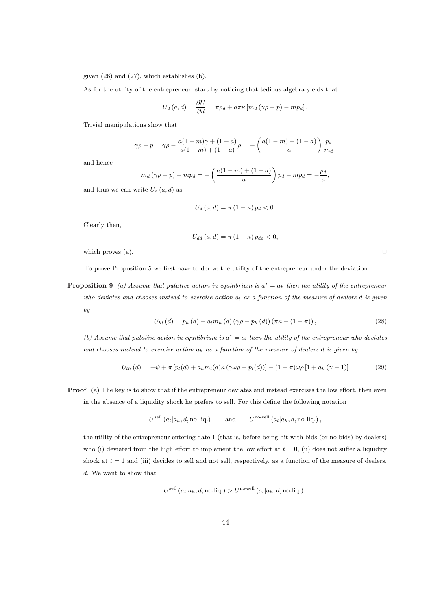given (26) and (27), which establishes (b).

As for the utility of the entrepreneur, start by noticing that tedious algebra yields that

$$
U_d(a,d) = \frac{\partial U}{\partial d} = \pi p_d + a \pi \kappa [m_d (\gamma \rho - p) - m p_d].
$$

Trivial manipulations show that

$$
\gamma \rho - p = \gamma \rho - \frac{a(1-m)\gamma + (1-a)}{a(1-m) + (1-a)} \rho = -\left(\frac{a(1-m) + (1-a)}{a}\right) \frac{p_d}{m_d}
$$

and hence

$$
m_d\left(\gamma \rho - p\right) - mp_d = -\left(\frac{a(1-m) + (1-a)}{a}\right)p_d - mp_d = -\frac{p_d}{a},
$$

and thus we can write  $U_d(a, d)$  as

$$
U_d(a,d) = \pi (1 - \kappa) p_d < 0.
$$

Clearly then,

$$
U_{dd}(a,d) = \pi (1 - \kappa) p_{dd} < 0,
$$

which proves (a).  $\Box$ 

To prove Proposition 5 we first have to derive the utility of the entrepreneur under the deviation.

**Proposition 9** (a) Assume that putative action in equilibrium is  $a^* = a_h$  then the utility of the entrepreneur who deviates and chooses instead to exercise action  $a_l$  as a function of the measure of dealers d is given by

$$
U_{hl}(d) = p_h(d) + a_l m_h(d) (\gamma \rho - p_h(d)) (\pi \kappa + (1 - \pi)), \qquad (28)
$$

(b) Assume that putative action in equilibrium is  $a^* = a_l$  then the utility of the entrepreneur who deviates and chooses instead to exercise action  $a_h$  as a function of the measure of dealers d is given by

$$
U_{1h}(d) = -\psi + \pi \left[ p_l(d) + a_h m_l(d) \kappa (\gamma \omega \rho - p_l(d)) \right] + (1 - \pi) \omega \rho \left[ 1 + a_h (\gamma - 1) \right] \tag{29}
$$

**Proof.** (a) The key is to show that if the entrepreneur deviates and instead exercises the low effort, then even in the absence of a liquidity shock he prefers to sell. For this define the following notation

$$
U^{\text{sell}}(a_l|a_h, d, \text{no-liq.})
$$
 and  $U^{\text{no-sell}}(a_l|a_h, d, \text{no-liq.})$ ,

the utility of the entrepreneur entering date 1 (that is, before being hit with bids (or no bids) by dealers) who (i) deviated from the high effort to implement the low effort at  $t = 0$ , (ii) does not suffer a liquidity shock at  $t = 1$  and (iii) decides to sell and not sell, respectively, as a function of the measure of dealers, d. We want to show that

$$
U^{\text{sell}}(a_l|a_h, d, \text{no-liq.}) > U^{\text{no-sell}}(a_l|a_h, d, \text{no-liq.}).
$$

,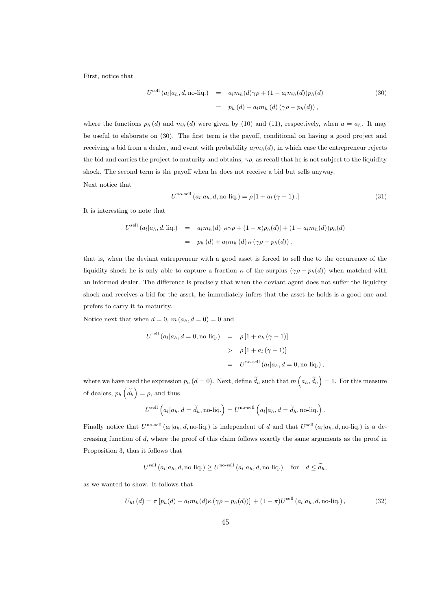First, notice that

$$
U^{\text{sell}}(a_l|a_h, d, \text{no-liq.}) = a_l m_h(d) \gamma \rho + (1 - a_l m_h(d)) p_h(d)
$$
\n
$$
= p_h(d) + a_l m_h(d) (\gamma \rho - p_h(d)), \qquad (30)
$$

where the functions  $p_h(d)$  and  $m_h(d)$  were given by (10) and (11), respectively, when  $a = a_h$ . It may be useful to elaborate on (30). The first term is the payoff, conditional on having a good project and receiving a bid from a dealer, and event with probability  $a_l m_h(d)$ , in which case the entrepreneur rejects the bid and carries the project to maturity and obtains,  $\gamma \rho$ , as recall that he is not subject to the liquidity shock. The second term is the payoff when he does not receive a bid but sells anyway. Next notice that

$$
Uno-sell (al|ah, d, no-liq.) = \rho [1 + al (\gamma - 1).]
$$
\n(31)

It is interesting to note that

$$
U^{\text{sell}}(a_l|a_h, d, \text{liq.}) = a_l m_h(d) [\kappa \gamma \rho + (1 - \kappa) p_h(d)] + (1 - a_l m_h(d)) p_h(d)
$$
  
=  $p_h(d) + a_l m_h(d) \kappa (\gamma \rho - p_h(d)),$ 

that is, when the deviant entrepreneur with a good asset is forced to sell due to the occurrence of the liquidity shock he is only able to capture a fraction  $\kappa$  of the surplus  $(\gamma \rho - p_h(d))$  when matched with an informed dealer. The difference is precisely that when the deviant agent does not suffer the liquidity shock and receives a bid for the asset, he immediately infers that the asset he holds is a good one and prefers to carry it to maturity.

Notice next that when  $d = 0$ ,  $m(a_h, d = 0) = 0$  and

$$
U^{\text{sell}}(a_l|a_h, d=0, \text{no-liq.}) = \rho \left[1 + a_h \left(\gamma - 1\right)\right]
$$
  
> 
$$
\rho \left[1 + a_l \left(\gamma - 1\right)\right]
$$
  
= 
$$
U^{\text{no-sell}}(a_l|a_h, d=0, \text{no-liq.}),
$$

where we have used the expression  $p_h (d=0)$ . Next, define  $\widetilde{d}_h$  such that  $m\left(a_h, \widetilde{d}_h\right)$ e used the expression  $p_h$  ( $d = 0$ ). Next, define  $d_h$  such that  $m(a_h, d_h) = 1$ . For this measure of dealers,  $p_h\left(\tilde{d}_h\right) = \rho$ , and thus

$$
U^{\text{sell}}\left(a_l|a_h,d=\widetilde{d}_h,\text{no-liq.}\right)=U^{\text{no-sell}}\left(a_l|a_h,d=\widetilde{d}_h,\text{no-liq.}\right).
$$

Finally notice that  $U^{\text{no-sell}}(a_l|a_h, d, \text{no-liq.})$  is independent of d and that  $U^{\text{sell}}(a_l|a_h, d, \text{no-liq.})$  is a decreasing function of d, where the proof of this claim follows exactly the same arguments as the proof in Proposition 3, thus it follows that

$$
U^{\text{sell}}\left(a_l|a_h,d,\text{no-liq.}\right) \geq U^{\text{no-sell}}\left(a_l|a_h,d,\text{no-liq.}\right) \quad \text{for} \quad d \leq \widetilde{d}_h,
$$

as we wanted to show. It follows that

$$
U_{hl}(d) = \pi \left[ p_h(d) + a_l m_h(d) \kappa (\gamma \rho - p_h(d)) \right] + (1 - \pi) U^{\text{sell}}(a_l | a_h, d, \text{no-liq.}) , \qquad (32)
$$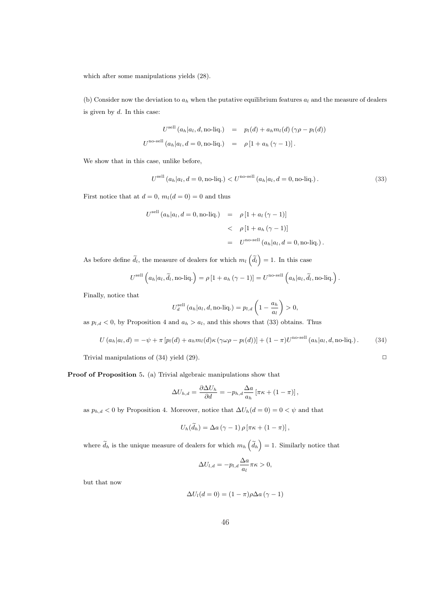which after some manipulations yields (28).

(b) Consider now the deviation to  $a_h$  when the putative equilibrium features  $a_l$  and the measure of dealers is given by  $d$ . In this case:

$$
U^{\text{sell}}(a_h|a_l, d, \text{no-liq.}) = p_l(d) + a_h m_l(d) (\gamma \rho - p_l(d))
$$
  

$$
U^{\text{no-sell}}(a_h|a_l, d = 0, \text{no-liq.}) = \rho [1 + a_h (\gamma - 1)].
$$

We show that in this case, unlike before,

$$
U^{\text{sell}}(a_h|a_l, d=0, \text{no-liq.}) < U^{\text{no-sell}}(a_h|a_l, d=0, \text{no-liq.}). \tag{33}
$$

First notice that at  $d = 0$ ,  $m_l(d = 0) = 0$  and thus

$$
U^{\text{sell}}(a_h|a_l, d=0, \text{no-liq.}) = \rho \left[1 + a_l \left(\gamma - 1\right)\right]
$$
  
< 
$$
< \rho \left[1 + a_h \left(\gamma - 1\right)\right]
$$
  

$$
= U^{\text{no-sell}}(a_h|a_l, d=0, \text{no-liq.}).
$$

As before define  $\tilde{d}_l$ , the measure of dealers for which  $m_l\left(\tilde{d}_l\right)$  $= 1$ . In this case

$$
U^{\text{sell}}\left(a_h|a_l,\widetilde{d}_l,\text{no-liq.}\right) = \rho\left[1 + a_h\left(\gamma - 1\right)\right] = U^{\text{no-sell}}\left(a_h|a_l,\widetilde{d}_l,\text{no-liq.}\right).
$$

Finally, notice that

$$
U_d^{\text{sell}}(a_h|a_l, d, \text{no-liq.}) = p_{l,d} \left(1 - \frac{a_h}{a_l}\right) > 0,
$$

as  $p_{l,d} < 0$ , by Proposition 4 and  $a_h > a_l$ , and this shows that (33) obtains. Thus

$$
U(a_h|a_l, d) = -\psi + \pi \left[ p_l(d) + a_h m_l(d) \kappa (\gamma \omega \rho - p_l(d)) \right] + (1 - \pi) U^{\text{no-sell}}(a_h|a_l, d, \text{no-liq.}). \tag{34}
$$

Trivial manipulations of (34) yield (29).  $\Box$ 

Proof of Proposition 5. (a) Trivial algebraic manipulations show that

$$
\Delta U_{h,d} = \frac{\partial \Delta U_h}{\partial d} = -p_{h,d} \frac{\Delta a}{a_h} \left[ \pi \kappa + (1 - \pi) \right],
$$

as  $p_{h,d} < 0$  by Proposition 4. Moreover, notice that  $\Delta U_h(d=0) = 0 < \psi$  and that

$$
U_h(\widetilde{d}_h) = \Delta a(\gamma - 1) \rho \left[ \pi \kappa + (1 - \pi) \right],
$$

where  $\tilde{d}_h$  is the unique measure of dealers for which  $m_h\left(\tilde{d}_h\right)$ = 1. Similarly notice that

$$
\Delta U_{l,d} = -p_{l,d} \frac{\Delta a}{a_l} \pi \kappa > 0,
$$

but that now

$$
\Delta U_l(d=0) = (1-\pi)\rho \Delta a \left(\gamma - 1\right)
$$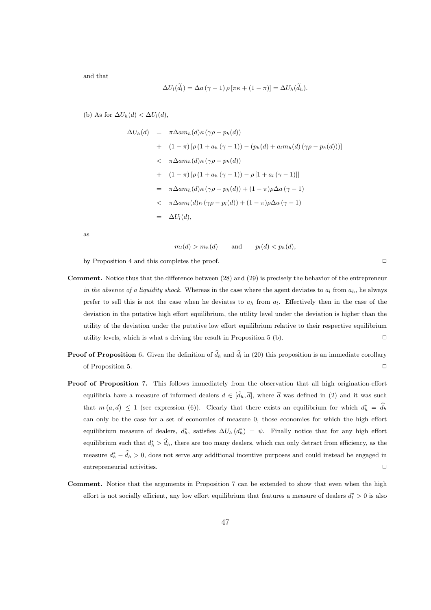and that

$$
\Delta U_l(\widetilde{d}_l) = \Delta a(\gamma - 1) \rho \left[ \pi \kappa + (1 - \pi) \right] = \Delta U_h(\widetilde{d}_h).
$$

(b) As for  $\Delta U_h(d) < \Delta U_l(d)$ ,

$$
\Delta U_h(d) = \pi \Delta a m_h(d) \kappa (\gamma \rho - p_h(d))
$$
  
+ 
$$
(1 - \pi) [\rho (1 + a_h (\gamma - 1)) - (p_h(d) + a_l m_h(d) (\gamma \rho - p_h(d)))]
$$
  
< 
$$
< \pi \Delta a m_h(d) \kappa (\gamma \rho - p_h(d))
$$
  
+ 
$$
(1 - \pi) [\rho (1 + a_h (\gamma - 1)) - \rho [1 + a_l (\gamma - 1)]]
$$
  
= 
$$
\pi \Delta a m_h(d) \kappa (\gamma \rho - p_h(d)) + (1 - \pi) \rho \Delta a (\gamma - 1)
$$
  

$$
< \pi \Delta a m_l(d) \kappa (\gamma \rho - p_l(d)) + (1 - \pi) \rho \Delta a (\gamma - 1)
$$
  
= 
$$
\Delta U_l(d),
$$

as

$$
m_l(d) > m_h(d)
$$
 and  $p_l(d) < p_h(d)$ ,

by Proposition 4 and this completes the proof.  $\Box$ 

- Comment. Notice thus that the difference between (28) and (29) is precisely the behavior of the entrepreneur in the absence of a liquidity shock. Whereas in the case where the agent deviates to  $a_l$  from  $a_h$ , he always prefer to sell this is not the case when he deviates to  $a_h$  from  $a_l$ . Effectively then in the case of the deviation in the putative high effort equilibrium, the utility level under the deviation is higher than the utility of the deviation under the putative low effort equilibrium relative to their respective equilibrium utility levels, which is what s driving the result in Proposition 5 (b).  $\Box$
- **Proof of Proposition** 6. Given the definition of  $\hat{d}_h$  and  $\hat{d}_l$  in (20) this proposition is an immediate corollary of Proposition 5.
- Proof of Proposition 7. This follows immediately from the observation that all high origination-effort equilibria have a measure of informed dealers  $d \in [\hat{d}_h, \overline{d}]$ , where  $\overline{d}$  was defined in (2) and it was such that  $m(a, \bar{d}) \leq 1$  (see expression (6)). Clearly that there exists an equilibrium for which  $d_h^* = \hat{d}_h$ can only be the case for a set of economies of measure 0, those economies for which the high effort equilibrium measure of dealers,  $d_h^*$ , satisfies  $\Delta U_h(d_h^*) = \psi$ . Finally notice that for any high effort equilibrium such that  $d_h^* > \hat{d}_h$ , there are too many dealers, which can only detract from efficiency, as the measure  $d_h^* - \hat{d}_h > 0$ , does not serve any additional incentive purposes and could instead be engaged in entrepreneurial activities.
- Comment. Notice that the arguments in Proposition 7 can be extended to show that even when the high effort is not socially efficient, any low effort equilibrium that features a measure of dealers  $d_l^* > 0$  is also